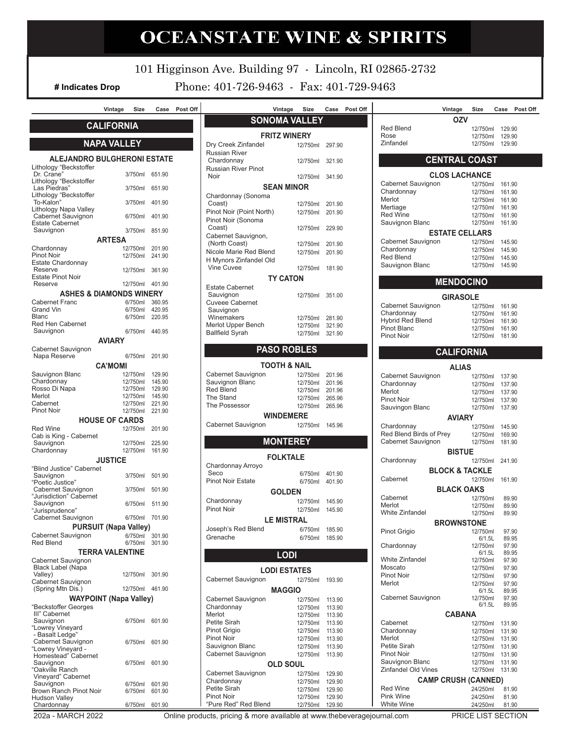# **OCEANSTATE WINE & SPIRITS # Indicates Drop TEL. 401-726-9463 Vintage Size Case Post Off Vintage Size Case Post Off Vintage Size Case Post Off**

101 Higginson Ave. Building 97 - Lincoln, RI 02865-2732

**# Indicates Drop** Phone: 401-726-9463 - Fax: 401-729-9463

| Vintage | Size | Case Post Off | Vintage | Size | Case Post Off |
|---------|------|---------------|---------|------|---------------|

# **CALIFORNIA**

# **NAPA VALLEY**

### **ALEJANDRO BULGHERONI ESTATE** Lithology "Beckstoffer<br>Dr. Crane" 3/750ml 651.90 Lithology "Beckstoffer Las Piedras" 3/750ml 651.90 Lithology "Beckstoffer To-Kalon" 3/750ml 401.90

| Lithology Napa Valley                          |                               |                  |
|------------------------------------------------|-------------------------------|------------------|
| Cabernet Sauvignon<br><b>Estate Cabernet</b>   | 6/750ml                       | 401.90           |
| Sauvignon                                      | 3/750ml                       | 851.90           |
|                                                | <b>ARTESA</b>                 |                  |
| Chardonnay                                     | 12/750ml                      | 201.90           |
| Pinot Noir                                     | 12/750ml                      | 241.90           |
| Estate Chardonnay                              |                               |                  |
| Reserve                                        | 12/750ml                      | 361.90           |
| <b>Estate Pinot Noir</b>                       |                               |                  |
| Reserve                                        | 12/750ml                      | 401.90           |
| ASHES & DIAMONDS WINERY                        |                               |                  |
| Cabernet Franc<br>Grand Vin                    | 6/750ml<br>6/750ml            | 360.95<br>420.95 |
| Blanc                                          | 6/750ml                       | 220.95           |
| Red Hen Cabernet                               |                               |                  |
| Sauvignon                                      | 6/750ml                       | 440.95           |
|                                                | <b>AVIARY</b>                 |                  |
| Cabernet Sauvignon                             |                               |                  |
| Napa Reserve                                   | 6/750ml                       | 201.90           |
|                                                | <b>CA'MOMI</b>                |                  |
| Sauvignon Blanc                                | 12/750ml                      | 129.90           |
| Chardonnay                                     | 12/750ml                      | 145.90           |
| Rosso Di Napa                                  | 12/750ml                      | 129.90           |
| Merlot<br>Cabernet                             | 12/750ml<br>12/750ml          | 145.90           |
| Pinot Noir                                     | 12/750ml                      | 221.90<br>221.90 |
|                                                |                               |                  |
|                                                | <b>HOUSE OF CARDS</b>         |                  |
| <b>Red Wine</b><br>Cab is King - Cabernet      | 12/750ml                      | 201.90           |
| Sauvignon                                      | 12/750ml                      | 225.90           |
| Chardonnay                                     | 12/750ml                      | 161.90           |
|                                                | <b>JUSTICE</b>                |                  |
| "Blind Justice" Cabernet                       |                               |                  |
| Sauvignon                                      | 3/750ml                       | 501.90           |
| "Poetic Justice"                               |                               |                  |
| Cabernet Sauvignon<br>"Jurisdiction" Cabernet  | 3/750ml                       | 501.90           |
| Sauvignon                                      | 6/750ml                       | 511.90           |
| "Jurisprudence"                                |                               |                  |
| Cabernet Sauvignon                             | 6/750ml                       | 701.90           |
|                                                | <b>PURSUIT (Napa Valley)</b>  |                  |
| Cabernet Sauvignon                             | 6/750ml                       | 301.90           |
| <b>Red Blend</b>                               | 6/750ml                       | 301.90           |
|                                                | TERRA VALENTINE               |                  |
| Cabernet Sauvignon                             |                               |                  |
| <b>Black Label (Napa</b>                       |                               |                  |
| Valley)<br>Cabernet Sauvignon                  | 12/750ml                      | 301.90           |
| (Spring Mtn Dis.)                              | 12/750ml                      | 461.90           |
|                                                | <b>WAYPOINT (Napa Valley)</b> |                  |
| "Beckstoffer Georges                           |                               |                  |
| III" Cabernet                                  |                               |                  |
| Sauvignon                                      | 6/750ml                       | 601.90           |
| "Lowrey Vineyard                               |                               |                  |
| - Basalt Ledge"<br>Cabernet Sauvignon          | 6/750ml                       | 601.90           |
| "Lowrey Vineyard -                             |                               |                  |
| Homestead" Cabernet                            |                               |                  |
| Sauvignon                                      | 6/750ml                       | 601.90           |
| "Oakville Ranch                                |                               |                  |
| Vineyard" Cabernet                             |                               |                  |
| Sauvignon                                      | 6/750ml                       | 601.90           |
| Brown Ranch Pinot Noir<br><b>Hudson Valley</b> | 6/750ml                       | 601.90           |
| Chardonnay                                     | 6/750ml                       | 601.90           |

| <b>SONOMA VALLEY</b>                 |          |        |  |  |  |  |  |  |
|--------------------------------------|----------|--------|--|--|--|--|--|--|
| <b>FRITZ WINERY</b>                  |          |        |  |  |  |  |  |  |
| Dry Creek Zinfandel                  | 12/750ml | 297.90 |  |  |  |  |  |  |
| Russian River                        |          |        |  |  |  |  |  |  |
| Chardonnay                           | 12/750ml | 321.90 |  |  |  |  |  |  |
| Russian River Pinot<br>Noir          | 12/750ml | 341.90 |  |  |  |  |  |  |
|                                      |          |        |  |  |  |  |  |  |
| <b>SEAN MINOR</b>                    |          |        |  |  |  |  |  |  |
| Chardonnay (Sonoma<br>Coast)         | 12/750ml | 201.90 |  |  |  |  |  |  |
| Pinot Noir (Point North)             | 12/750ml | 201.90 |  |  |  |  |  |  |
| Pinot Noir (Sonoma                   |          |        |  |  |  |  |  |  |
| Coast)                               | 12/750ml | 229.90 |  |  |  |  |  |  |
| Cabernet Sauvignon,                  |          |        |  |  |  |  |  |  |
| (North Coast)                        | 12/750ml | 201.90 |  |  |  |  |  |  |
| Nicole Marie Red Blend               | 12/750ml | 201.90 |  |  |  |  |  |  |
| H Mynors Zinfandel Old<br>Vine Cuvee | 12/750ml |        |  |  |  |  |  |  |
|                                      |          | 181.90 |  |  |  |  |  |  |
| <b>TY CATON</b>                      |          |        |  |  |  |  |  |  |
| <b>Estate Cabernet</b><br>Sauvignon  | 12/750ml | 351.00 |  |  |  |  |  |  |
| <b>Cuveee Cabernet</b>               |          |        |  |  |  |  |  |  |
| Sauvignon                            |          |        |  |  |  |  |  |  |
| Winemakers                           | 12/750ml | 281.90 |  |  |  |  |  |  |
| Merlot Upper Bench                   | 12/750ml | 321.90 |  |  |  |  |  |  |
| <b>Ballfield Syrah</b>               | 12/750ml | 321.90 |  |  |  |  |  |  |

# **PASO ROBLES**

| <b>TOOTH &amp; NAIL</b>                  |                 |        |  |  |  |  |  |
|------------------------------------------|-----------------|--------|--|--|--|--|--|
| Cabernet Sauvignon                       | 12/750ml 201.96 |        |  |  |  |  |  |
| Sauvignon Blanc                          | 12/750ml 201.96 |        |  |  |  |  |  |
| <b>Red Blend</b>                         | 12/750ml        | 201.96 |  |  |  |  |  |
| The Stand                                | 12/750ml        | 265.96 |  |  |  |  |  |
| The Possessor                            | 12/750ml 265.96 |        |  |  |  |  |  |
| <b>WINDEMERE</b>                         |                 |        |  |  |  |  |  |
| Cabernet Sauvignon<br>12/750ml<br>145.96 |                 |        |  |  |  |  |  |

**MONTEREY FOLKTALE** Chardonnay Arroyo 6/750ml 401.90<br>6/750ml 401.90 Pinot Noir Estate **GOLDEN** Chardonnay 12/750ml 145.90<br>
Pinot Noir 12/750ml 145.90 12/750ml 145.90 **LE MISTRAL**<br>d 6/750ml 185.90 Joseph's Red Blend Grenache 6/750ml 185.90

# **LODI LODI ESTATES** Cabernet Sauvignon 12/750ml 193.90

| <b>MAGGIO</b>        |          |        |  |  |  |  |  |
|----------------------|----------|--------|--|--|--|--|--|
| Cabernet Sauvignon   | 12/750ml | 113.90 |  |  |  |  |  |
| Chardonnay           | 12/750ml | 113.90 |  |  |  |  |  |
| Merlot               | 12/750ml | 113.90 |  |  |  |  |  |
| Petite Sirah         | 12/750ml | 113.90 |  |  |  |  |  |
| Pinot Grigio         | 12/750ml | 113.90 |  |  |  |  |  |
| Pinot Noir           | 12/750ml | 113.90 |  |  |  |  |  |
| Sauvignon Blanc      | 12/750ml | 113.90 |  |  |  |  |  |
| Cabernet Sauvignon   | 12/750ml | 113.90 |  |  |  |  |  |
| <b>OLD SOUL</b>      |          |        |  |  |  |  |  |
| Cabernet Sauvignon   | 12/750ml | 129.90 |  |  |  |  |  |
| Chardonnay           | 12/750ml | 129.90 |  |  |  |  |  |
| Petite Sirah         | 12/750ml | 129.90 |  |  |  |  |  |
| Pinot Noir           | 12/750ml | 129.90 |  |  |  |  |  |
| "Pure Red" Red Blend | 12/750ml | 129.90 |  |  |  |  |  |

|                                | Vintage    | Size Case Post Of                                     |  |
|--------------------------------|------------|-------------------------------------------------------|--|
|                                | <b>OZV</b> |                                                       |  |
| Red Blend<br>Rose<br>Zinfandel |            | 12/750ml 129.90<br>12/750ml 129.90<br>12/750ml 129.90 |  |

## **CENTRAL COAST**

| <b>CLOS LACHANCE</b>  |          |        |  |  |  |  |
|-----------------------|----------|--------|--|--|--|--|
| Cabernet Sauvignon    | 12/750ml | 161.90 |  |  |  |  |
| Chardonnay            | 12/750ml | 161.90 |  |  |  |  |
| Merlot                | 12/750ml | 161.90 |  |  |  |  |
| Mertiage              | 12/750ml | 161.90 |  |  |  |  |
| <b>Red Wine</b>       | 12/750ml | 161.90 |  |  |  |  |
| Sauvignon Blanc       | 12/750ml | 161.90 |  |  |  |  |
| <b>ESTATE CELLARS</b> |          |        |  |  |  |  |
| Cabernet Sauvignon    | 12/750ml | 145.90 |  |  |  |  |
| Chardonnay            | 12/750ml | 145.90 |  |  |  |  |
| <b>Red Blend</b>      | 12/750ml | 145.90 |  |  |  |  |
| Sauvignon Blanc       | 12/750ml | 145.90 |  |  |  |  |
|                       |          |        |  |  |  |  |

### **MENDOCINO**

| <b>GIRASOLE</b>         |          |        |
|-------------------------|----------|--------|
| Cabernet Sauvignon      | 12/750ml | 161.90 |
| Chardonnay              | 12/750ml | 161.90 |
| <b>Hybrid Red Blend</b> | 12/750ml | 161.90 |
| Pinot Blanc             | 12/750ml | 161.90 |
| Pinot Noir              | 12/750ml | 181.90 |

# **CALIFORNIA**

| <b>ALIAS</b>               |                    |                |  |  |  |  |
|----------------------------|--------------------|----------------|--|--|--|--|
| Cabernet Sauvignon         | 12/750ml           | 137.90         |  |  |  |  |
| Chardonnay                 | 12/750ml           | 137.90         |  |  |  |  |
| Merlot                     | 12/750ml           | 137.90         |  |  |  |  |
| Pinot Noir                 | 12/750ml           | 137.90         |  |  |  |  |
| Sauvingon Blanc            | 12/750ml           | 137.90         |  |  |  |  |
| <b>AVIARY</b>              |                    |                |  |  |  |  |
| Chardonnay                 | 12/750ml           | 145.90         |  |  |  |  |
| Red Blend Birds of Prev    | 12/750ml           | 169.90         |  |  |  |  |
| Cabernet Sauvignon         | 12/750ml           | 181.90         |  |  |  |  |
| <b>BISTUE</b>              |                    |                |  |  |  |  |
| Chardonnay                 | 12/750ml           | 241.90         |  |  |  |  |
| <b>BLOCK &amp; TACKLE</b>  |                    |                |  |  |  |  |
| Cabernet                   | 12/750ml           | 161.90         |  |  |  |  |
|                            |                    |                |  |  |  |  |
| <b>BLACK OAKS</b>          |                    |                |  |  |  |  |
| Cabernet                   | 12/750ml           | 89.90          |  |  |  |  |
| Merlot<br>White Zinfandel  | 12/750ml           | 89.90          |  |  |  |  |
|                            | 12/750ml           | 89.90          |  |  |  |  |
| <b>BROWNSTONE</b>          |                    |                |  |  |  |  |
| Pinot Grigio               | 12/750ml           | 97.90          |  |  |  |  |
|                            | 6/1.5L             | 89.95          |  |  |  |  |
| Chardonnay                 | 12/750ml<br>6/1.5L | 97.90<br>89.95 |  |  |  |  |
| <b>White Zinfandel</b>     | 12/750ml           | 97.90          |  |  |  |  |
| Moscato                    | 12/750ml           | 97.90          |  |  |  |  |
| Pinot Noir                 | 12/750ml           | 97.90          |  |  |  |  |
| Merlot                     | 12/750ml           | 97.90          |  |  |  |  |
|                            | 6/1.5L             | 89.95          |  |  |  |  |
| Cabernet Sauvignon         | 12/750ml           | 97.90          |  |  |  |  |
|                            | 6/1.5L             | 89.95          |  |  |  |  |
| <b>CABANA</b>              |                    |                |  |  |  |  |
| Cabernet                   | 12/750ml           | 131.90         |  |  |  |  |
| Chardonnay                 | 12/750ml           | 131.90         |  |  |  |  |
| Merlot                     | 12/750ml           | 131.90         |  |  |  |  |
| Petite Sirah               | 12/750ml           | 131.90         |  |  |  |  |
| Pinot Noir                 | 12/750ml           | 131.90         |  |  |  |  |
| Sauvignon Blanc            | 12/750ml           | 131.90         |  |  |  |  |
| <b>Zinfandel Old Vines</b> | 12/750ml           | 131.90         |  |  |  |  |
| <b>CAMP CRUSH (CANNED)</b> |                    |                |  |  |  |  |
| <b>Red Wine</b>            | 24/250ml           | 81.90          |  |  |  |  |
| Pink Wine                  | 24/250ml           | 81.90          |  |  |  |  |
| <b>White Wine</b>          | 24/250ml           | 81.90          |  |  |  |  |
| זוחם                       | 110TCT             |                |  |  |  |  |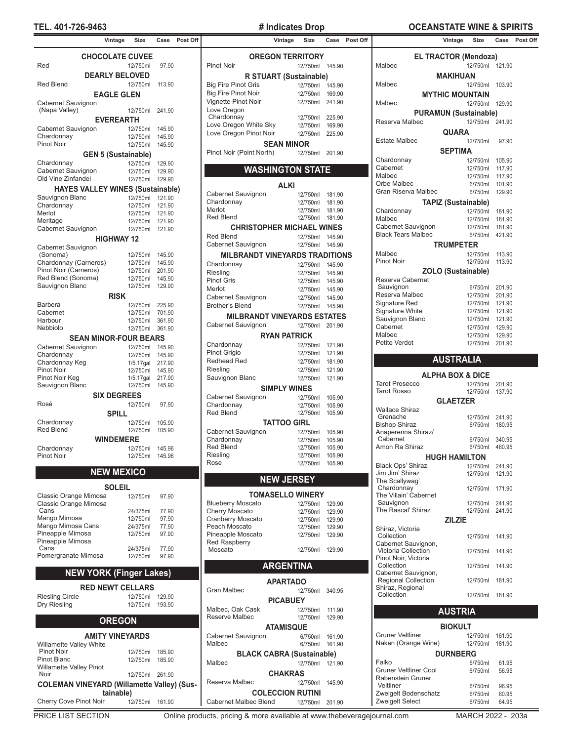# **TEL. 401-726-9463 # Indicates Drop OCEANSTATE WINE & SPIRITS**

|                                                   | Vintage          | Size                 | Case           | Post Of |
|---------------------------------------------------|------------------|----------------------|----------------|---------|
| <b>CHOCOLATE CUVEE</b><br>Red                     |                  | 12/750ml             | 97.90          |         |
| <b>DEARLY BELOVED</b>                             |                  |                      |                |         |
| <b>Red Blend</b><br><b>EAGLE GLEN</b>             |                  | 12/750ml             | 113.90         |         |
| Cabernet Sauvignon                                |                  |                      |                |         |
| (Napa Valley)                                     | <b>EVEREARTH</b> | 12/750ml             | 241.90         |         |
| Cabernet Sauvignon                                |                  | 12/750ml             | 145.90         |         |
| Chardonnay                                        |                  | 12/750ml             | 145.90         |         |
| Pinot Noir                                        |                  | 12/750ml             | 145.90         |         |
| <b>GEN 5 (Sustainable)</b>                        |                  |                      |                |         |
| Chardonnay                                        |                  | 12/750ml             | 129.90         |         |
| Cabernet Sauvignon                                |                  | 12/750ml             | 129.90         |         |
| Old Vine Zinfandel                                |                  | 12/750ml             | 129.90         |         |
| <b>HAYES VALLEY WINES (Sustainable)</b>           |                  |                      |                |         |
| Sauvignon Blanc                                   |                  | 12/750ml             | 121.90         |         |
| Chardonnay                                        |                  | 12/750ml             | 121.90         |         |
| Merlot                                            |                  | 12/750ml             | 121.90         |         |
| Meritage                                          |                  | 12/750ml             | 121.90         |         |
| Cabernet Sauvignon                                |                  | 12/750ml             | 121.90         |         |
|                                                   | HIGHWAY 12       |                      |                |         |
| Cabernet Sauvignon                                |                  |                      |                |         |
| (Sonoma)                                          |                  | 12/750ml             | 145.90         |         |
| Chardonnay (Carneros)                             |                  | 12/750ml             | 145.90         |         |
| Pinot Noir (Carneros)                             |                  | 12/750ml             | 201.90         |         |
| Red Blend (Sonoma)                                |                  | 12/750ml             | 145.90         |         |
| Sauvignon Blanc                                   |                  | 12/750ml             | 129.90         |         |
|                                                   | <b>RISK</b>      |                      |                |         |
| Barbera                                           |                  | 12/750ml             | 225.90         |         |
| Cabernet                                          |                  | 12/750ml             | 701.90         |         |
| Harbour                                           |                  | 12/750ml             | 361.90         |         |
| Nebbiolo                                          |                  | 12/750ml             | 361.90         |         |
| <b>SEAN MINOR-FOUR BEARS</b>                      |                  |                      |                |         |
| Cabernet Sauvignon                                |                  | 12/750ml             | 145.90         |         |
| Chardonnay                                        |                  | 12/750ml             | 145.90         |         |
| Chardonnay Keg                                    |                  | $1/5.17$ gal         | 217.90         |         |
| <b>Pinot Noir</b>                                 |                  | 12/750ml             | 145.90         |         |
| Pinot Noir Keg                                    |                  | $1/5.17$ gal         | 217.90         |         |
| Sauvignon Blanc                                   |                  | 12/750ml             | 145.90         |         |
| <b>SIX DEGREES</b>                                |                  |                      |                |         |
| Rosé                                              |                  | 12/750ml             | 97.90          |         |
|                                                   | Spill            |                      |                |         |
| Chardonnay                                        |                  | 12/750ml             | 105.90         |         |
| <b>Red Blend</b>                                  |                  | 12/750ml             | 105.90         |         |
|                                                   | <b>WINDEMERE</b> |                      |                |         |
| Chardonnay                                        |                  | 12/750ml             | 145.96         |         |
| <b>Pinot Noir</b>                                 |                  | 12/750ml             | 145.96         |         |
| <b>NEW MEXICO</b>                                 |                  |                      |                |         |
|                                                   | SOLEIL           |                      |                |         |
| Classic Orange Mimosa                             |                  | 12/750ml             | 97.90          |         |
| Classic Orange Mimosa                             |                  |                      |                |         |
| Cans                                              |                  | 24/375ml             | 77.90          |         |
| Mango Mimosa                                      |                  | 12/750ml             | 97.90          |         |
| Mango Mimosa Cans<br>Pineapple Mimosa             |                  | 24/375ml<br>12/750ml | 77.90<br>97.90 |         |
| Pineapple Mimosa                                  |                  |                      |                |         |
| Cans                                              |                  | 24/375ml             | 77.90          |         |
| Pomergranate Mimosa                               |                  | 12/750ml             | 97.90          |         |
|                                                   |                  |                      |                |         |
| <b>NEW YORK (Finger Lakes)</b>                    |                  |                      |                |         |
|                                                   |                  |                      |                |         |
| <b>RED NEWT CELLARS</b>                           |                  |                      |                |         |
| <b>Riesling Circle</b>                            |                  | 12/750ml             | 129.90         |         |
| Dry Riesling                                      |                  | 12/750ml             | 193.90         |         |
|                                                   | <b>OREGON</b>    |                      |                |         |
|                                                   |                  |                      |                |         |
| <b>AMITY VINEYARDS</b>                            |                  |                      |                |         |
| Willamette Valley White                           |                  |                      |                |         |
| <b>Pinot Noir</b>                                 |                  | 12/750ml             | 185.90         |         |
| <b>Pinot Blanc</b>                                |                  | 12/750ml             | 185.90         |         |
| <b>Willamette Valley Pinot</b>                    |                  |                      |                |         |
| Noir                                              |                  | 12/750ml 261.90      |                |         |
| <b>COLEMAN VINEYARD (Willamette Valley) (Sus-</b> |                  |                      |                |         |
|                                                   | tainable)        |                      |                |         |
| Cherry Cove Pinot Noir                            |                  | 12/750ml 161.90      |                |         |

| <b>OREGON TERRITORY</b>                         |                      |                  |
|-------------------------------------------------|----------------------|------------------|
| Pinot Noir                                      | 12/750ml             | 145.90           |
| R STUART (Sustainable)                          |                      |                  |
| <b>Big Fire Pinot Gris</b>                      | 12/750ml             | 145.90           |
| <b>Big Fire Pinot Noir</b>                      | 12/750ml             | 169.90           |
| Vignette Pinot Noir                             | 12/750ml             | 241.90           |
| Love Oregon                                     |                      |                  |
| Chardonnay                                      | 12/750ml             | 225.90           |
| Love Oregon White Sky<br>Love Oregon Pinot Noir | 12/750ml             | 169.90           |
|                                                 | 12/750ml             | 225.90           |
| <b>SEAN MINOR</b><br>Pinot Noir (Point North)   |                      |                  |
|                                                 | 12/750ml             | 201.90           |
| <b>WASHINGTON STATE</b>                         |                      |                  |
|                                                 |                      |                  |
| <b>ALKI</b>                                     |                      |                  |
| Cabernet Sauvignon                              | 12/750ml             | 181.90           |
| Chardonnay<br>Merlot                            | 12/750ml             | 181.90           |
| <b>Red Blend</b>                                | 12/750ml<br>12/750ml | 181.90<br>181.90 |
| <b>CHRISTOPHER MICHAEL WINES</b>                |                      |                  |
| <b>Red Blend</b>                                | 12/750ml             |                  |
| Cabernet Sauvignon                              | 12/750ml             | 145.90<br>145.90 |
| <b>MILBRANDT VINEYARDS TRADITIONS</b>           |                      |                  |
|                                                 |                      |                  |
| Chardonnay<br>Riesling                          | 12/750ml<br>12/750ml | 145.90<br>145.90 |
| <b>Pinot Gris</b>                               | 12/750ml             | 145.90           |
| Merlot                                          | 12/750ml             | 145.90           |
| Cabernet Sauvignon                              | 12/750ml             | 145.90           |
| <b>Brother's Blend</b>                          | 12/750ml             | 145.90           |
| <b>MILBRANDT VINEYARDS ESTATES</b>              |                      |                  |
| Cabernet Sauvignon                              | 12/750ml             | 201.90           |
| <b>RYAN PATRICK</b>                             |                      |                  |
| Chardonnay                                      | 12/750ml             | 121.90           |
| Pinot Grigio                                    | 12/750ml             | 121.90           |
| Redhead Red                                     | 12/750ml             | 181.90           |
| Riesling                                        | 12/750ml             | 121.90           |
| Sauvignon Blanc                                 | 12/750ml             | 121.90           |
| <b>SIMPLY WINES</b>                             |                      |                  |
| Cabernet Sauvignon                              | 12/750ml             | 105.90           |
| Chardonnay                                      | 12/750ml             | 105.90           |
| <b>Red Blend</b>                                | 12/750ml             | 105.90           |
| <b>TATTOO GIRL</b>                              |                      |                  |
| Cabernet Sauvignon                              | 12/750ml             | 105.90           |
| Chardonnay                                      | 12/750ml             | 105.90           |
| <b>Red Blend</b>                                | 12/750ml             | 105.90           |
| Riesling<br>Rose                                | 12/750ml<br>12/750ml | 105.90<br>105.90 |
|                                                 |                      |                  |
| <b>NEW JERSEY</b>                               |                      |                  |
| <b>TOMASELLO WINERY</b>                         |                      |                  |
| <b>Blueberry Moscato</b>                        | 12/750ml             | 129.90           |
| <b>Cherry Moscato</b>                           | 12/750ml             | 129.90           |
| Cranberry Moscato                               | 12/750ml             | 129.90           |
| Peach Moscato                                   | 12/750ml             | 129.90           |
| Pineapple Moscato                               | 12/750ml             | 129.90           |
| <b>Red Raspberry</b><br>Moscato                 |                      |                  |
|                                                 | 12/750ml             | 129.90           |
| <b>ARGENTINA</b>                                |                      |                  |
|                                                 |                      |                  |
| <b>APARTADO</b>                                 |                      |                  |
| Gran Malbec                                     | 12/750ml             | 340.95           |
| <b>PICABUEY</b>                                 |                      |                  |
| Malbec, Oak Cask<br>Reserve Malbec              | 12/750ml             | 111.90           |
|                                                 | 12/750ml             | 129.90           |
| ATAMISQUE                                       |                      |                  |
| Cabernet Sauvignon<br>Malbec                    | 6/750ml              | 161.90           |
|                                                 | 6/750ml              | 161.90           |
| <b>BLACK CABRA (Sustainable)</b><br>Malbec      | 12/750ml             | 121.90           |
|                                                 |                      |                  |
| <b>CHAKRAS</b>                                  |                      |                  |
| Reserva Malbec                                  | 12/750ml             | 145.90           |
| <b>COLECCION RUTINI</b>                         |                      |                  |
| Cabernet Malbec Blend                           | 12/750ml             | 201.90           |

| Vintage         | Size                  |                  | Case Post Off | Vintage                               | Size                        | Case             | Post Off |                                            | Vintage                      | <b>Size</b>          | Case             | Post Off |
|-----------------|-----------------------|------------------|---------------|---------------------------------------|-----------------------------|------------------|----------|--------------------------------------------|------------------------------|----------------------|------------------|----------|
|                 | <b>DLATE CUVEE</b>    |                  |               | <b>OREGON TERRITORY</b>               |                             |                  |          |                                            | <b>EL TRACTOR (Mendoza)</b>  |                      |                  |          |
|                 | 12/750ml              | 97.90            |               | Pinot Noir                            | 12/750ml  145.90            |                  |          | Malbec                                     |                              | 12/750ml 121.90      |                  |          |
|                 | <b>LY BELOVED</b>     |                  |               |                                       |                             |                  |          |                                            | <b>MAKIHUAN</b>              |                      |                  |          |
|                 |                       | 113.90           |               | R STUART (Sustainable)                |                             |                  |          | Malbec                                     |                              |                      | 103.90           |          |
|                 | 12/750ml              |                  |               | <b>Big Fire Pinot Gris</b>            | 12/750ml  145.90            |                  |          |                                            |                              | 12/750ml             |                  |          |
| GLE GLEN        |                       |                  |               | <b>Big Fire Pinot Noir</b>            | 12/750ml                    | 169.90           |          |                                            | <b>MYTHIC MOUNTAIN</b>       |                      |                  |          |
|                 |                       |                  |               | Vignette Pinot Noir                   | 12/750ml 241.90             |                  |          | Malbec                                     |                              | 12/750ml 129.90      |                  |          |
|                 | 12/750ml 241.90       |                  |               | Love Oregon<br>Chardonnay             | 12/750ml                    | 225.90           |          |                                            | <b>PURAMUN (Sustainable)</b> |                      |                  |          |
| <b>EREARTH</b>  |                       |                  |               | Love Oregon White Sky                 | 12/750ml 169.90             |                  |          | Reserva Malbec                             |                              | 12/750ml 241.90      |                  |          |
|                 | 12/750ml 145.90       |                  |               | Love Oregon Pinot Noir                | 12/750ml 225.90             |                  |          |                                            | <b>QUARA</b>                 |                      |                  |          |
|                 | 12/750ml              | 145.90           |               |                                       |                             |                  |          | <b>Estate Malbec</b>                       |                              | 12/750ml             | 97.90            |          |
|                 | 12/750ml              | 145.90           |               | <b>SEAN MINOR</b>                     |                             |                  |          |                                            | <b>SEPTIMA</b>               |                      |                  |          |
|                 | (Sustainable)         |                  |               | Pinot Noir (Point North)              | 12/750ml 201.90             |                  |          | Chardonnay                                 |                              | 12/750ml             | 105.90           |          |
|                 | 12/750ml              | 129.90           |               |                                       |                             |                  |          | Cabernet                                   |                              | 12/750ml             | 117.90           |          |
|                 | 12/750ml              | 129.90           |               | <b>WASHINGTON STATE</b>               |                             |                  |          | Malbec                                     |                              | 12/750ml             | 117.90           |          |
|                 | 12/750ml 129.90       |                  |               |                                       |                             |                  |          | Orbe Malbec                                |                              | 6/750ml              | 101.90           |          |
|                 | Y WINES (Sustainable) |                  |               | <b>ALKI</b>                           |                             |                  |          | Gran Riserva Malbec                        |                              | 6/750ml              | 129.90           |          |
|                 | 12/750ml 121.90       |                  |               | Cabernet Sauvignon<br>Chardonnay      | 12/750ml 181.90             |                  |          |                                            |                              |                      |                  |          |
|                 | 12/750ml              | 121.90           |               | Merlot                                | 12/750ml                    | 181.90<br>181.90 |          |                                            | <b>TAPIZ (Sustainable)</b>   |                      |                  |          |
|                 | 12/750ml              | 121.90           |               | <b>Red Blend</b>                      | 12/750ml<br>12/750ml 181.90 |                  |          | Chardonnay<br>Malbec                       |                              | 12/750ml<br>12/750ml | 181.90           |          |
|                 | 12/750ml              | 121.90           |               |                                       |                             |                  |          | Cabernet Sauvignon                         |                              |                      | 181.90           |          |
|                 | 12/750ml 121.90       |                  |               | <b>CHRISTOPHER MICHAEL WINES</b>      |                             |                  |          | <b>Black Tears Malbec</b>                  |                              | 12/750ml<br>6/750ml  | 181.90<br>421.90 |          |
| <b>GHWAY 12</b> |                       |                  |               | <b>Red Blend</b>                      | 12/750ml  145.90            |                  |          |                                            |                              |                      |                  |          |
|                 |                       |                  |               | Cabernet Sauvignon                    | 12/750ml  145.90            |                  |          |                                            | <b>TRUMPETER</b>             |                      |                  |          |
|                 | 12/750ml              | 145.90           |               | <b>MILBRANDT VINEYARDS TRADITIONS</b> |                             |                  |          | Malbec<br>Pinot Noir                       |                              | 12/750ml<br>12/750ml | 113.90<br>113.90 |          |
|                 | 12/750ml              | 145.90           |               | Chardonnay                            | 12/750ml                    | 145.90           |          |                                            |                              |                      |                  |          |
|                 | 12/750ml              | 201.90<br>145.90 |               | Riesling                              | 12/750ml                    | 145.90           |          |                                            | <b>ZOLO (Sustainable)</b>    |                      |                  |          |
|                 | 12/750ml<br>12/750ml  | 129.90           |               | <b>Pinot Gris</b>                     | 12/750ml                    | 145.90           |          | Reserva Cabernet                           |                              |                      |                  |          |
|                 |                       |                  |               | Merlot                                | 12/750ml                    | 145.90           |          | Sauvignon<br>Reserva Malbec                |                              | 6/750ml<br>12/750ml  | 201.90<br>201.90 |          |
| <b>RISK</b>     |                       |                  |               | Cabernet Sauvignon                    | 12/750ml                    | 145.90           |          | Signature Red                              |                              | 12/750ml             | 121.90           |          |
|                 | 12/750ml              | 225.90           |               | <b>Brother's Blend</b>                | 12/750ml  145.90            |                  |          | Signature White                            |                              | 12/750ml             | 121.90           |          |
|                 | 12/750ml<br>12/750ml  | 701.90<br>361.90 |               | <b>MILBRANDT VINEYARDS ESTATES</b>    |                             |                  |          | Sauvignon Blanc                            |                              | 12/750ml             | 121.90           |          |
|                 | 12/750ml              | 361.90           |               | Cabernet Sauvignon                    | 12/750ml 201.90             |                  |          | Cabernet                                   |                              | 12/750ml             | 129.90           |          |
|                 | <b>OR-FOUR BEARS</b>  |                  |               | <b>RYAN PATRICK</b>                   |                             |                  |          | Malbec                                     |                              | 12/750ml             | 129.90           |          |
|                 | 12/750ml  145.90      |                  |               | Chardonnay                            | 12/750ml                    | 121.90           |          | Petite Verdot                              |                              | 12/750ml             | 201.90           |          |
|                 | 12/750ml              | 145.90           |               | Pinot Grigio                          | 12/750ml                    | 121.90           |          |                                            |                              |                      |                  |          |
|                 | $1/5.17$ gal          | 217.90           |               | Redhead Red                           | 12/750ml 181.90             |                  |          |                                            | <b>AUSTRALIA</b>             |                      |                  |          |
|                 | 12/750ml              | 145.90           |               | Riesling                              | 12/750ml                    | 121.90           |          |                                            |                              |                      |                  |          |
|                 | $1/5.17$ gal          | 217.90           |               | Sauvignon Blanc                       | 12/750ml 121.90             |                  |          |                                            | <b>ALPHA BOX &amp; DICE</b>  |                      |                  |          |
|                 | 12/750ml 145.90       |                  |               | <b>SIMPLY WINES</b>                   |                             |                  |          | <b>Tarot Prosecco</b>                      |                              | 12/750ml             | 201.90           |          |
| <b>DEGREES</b>  |                       |                  |               | Cabernet Sauvignon                    | 12/750ml 105.90             |                  |          | <b>Tarot Rosso</b>                         |                              | 12/750ml 137.90      |                  |          |
|                 | 12/750ml              | 97.90            |               | Chardonnay                            | 12/750ml 105.90             |                  |          |                                            | <b>GLAETZER</b>              |                      |                  |          |
| SPILL           |                       |                  |               | <b>Red Blend</b>                      | 12/750ml 105.90             |                  |          | <b>Wallace Shiraz</b>                      |                              |                      |                  |          |
|                 | 12/750ml              | 105.90           |               | <b>TATTOO GIRL</b>                    |                             |                  |          | Grenache                                   |                              | 12/750ml             | 241.90           |          |
|                 | 12/750ml              | 105.90           |               | Cabernet Sauvignon                    | 12/750ml 105.90             |                  |          | <b>Bishop Shiraz</b><br>Anaperenna Shiraz/ |                              | 6/750ml              | 180.95           |          |
| <b>NDEMERE</b>  |                       |                  |               | Chardonnay                            | 12/750ml                    | 105.90           |          | Cabernet                                   |                              | 6/750ml              | 340.95           |          |
|                 | 12/750ml 145.96       |                  |               | Red Blend                             | 12/750ml 105.90             |                  |          | Amon Ra Shiraz                             |                              | 6/750ml 460.95       |                  |          |
|                 | 12/750ml  145.96      |                  |               | Riesling                              | 12/750ml 105.90             |                  |          |                                            | <b>HUGH HAMILTON</b>         |                      |                  |          |
|                 |                       |                  |               | Rose                                  | 12/750ml 105.90             |                  |          | Black Ops' Shiraz                          |                              | 12/750ml 241.90      |                  |          |
| <b>N MEXICO</b> |                       |                  |               |                                       |                             |                  |          | Jim Jim' Shiraz                            |                              | 12/750ml             | 121.90           |          |
|                 |                       |                  |               | <b>NEW JERSEY</b>                     |                             |                  |          | The Scallywag'                             |                              |                      |                  |          |
| <b>SOLEIL</b>   |                       |                  |               |                                       |                             |                  |          | Chardonnay                                 |                              | 12/750ml             | 171.90           |          |
|                 | 12/750ml              | 97.90            |               | <b>TOMASELLO WINERY</b>               |                             |                  |          | The Villain' Cabernet                      |                              |                      |                  |          |
|                 |                       |                  |               | <b>Blueberry Moscato</b>              | 12/750ml 129.90             |                  |          | Sauvignon                                  |                              | 12/750ml             | 241.90           |          |
|                 | 24/375ml              | 77.90            |               | Cherry Moscato                        | 12/750ml 129.90             |                  |          | The Rascal' Shiraz                         |                              | 12/750ml 241.90      |                  |          |
|                 | 12/750ml              | 97.90            |               | <b>Cranberry Moscato</b>              | 12/750ml 129.90             |                  |          |                                            | <b>ZILZIE</b>                |                      |                  |          |
|                 | 24/375ml<br>12/750ml  | 77.90<br>97.90   |               | Peach Moscato<br>Pineapple Moscato    | 12/750ml 129.90             |                  |          | Shiraz, Victoria                           |                              |                      |                  |          |
|                 |                       |                  |               |                                       | 12/750ml 129.90             |                  |          | Collection                                 |                              | 12/750ml  141.90     |                  |          |

|                            | 711 71F        |        |  |
|----------------------------|----------------|--------|--|
| Shiraz, Victoria           |                |        |  |
| Collection                 | 12/750ml       | 141.90 |  |
| Cabernet Sauvignon,        |                |        |  |
| Victoria Collection        | 12/750ml       | 141.90 |  |
| Pinot Noir, Victoria       |                |        |  |
| Collection                 | 12/750ml       | 141.90 |  |
| Cabernet Sauvignon,        |                |        |  |
| <b>Regional Collection</b> | 12/750ml       | 181.90 |  |
| Shiraz, Regional           |                |        |  |
| Collection                 | 12/750ml       | 181.90 |  |
|                            |                |        |  |
|                            | <b>AUSTRIA</b> |        |  |
|                            |                |        |  |

| <b>BIOKULT</b>                                    |          |        |  |  |
|---------------------------------------------------|----------|--------|--|--|
| <b>Gruner Veltliner</b>                           | 12/750ml | 161.90 |  |  |
| Naken (Orange Wine)                               | 12/750ml | 181.90 |  |  |
| <b>DURNBERG</b>                                   |          |        |  |  |
| Falko                                             | 6/750ml  | 61.95  |  |  |
| <b>Gruner Veltliner Cool</b><br>Rabenstein Gruner | 6/750ml  | 56.95  |  |  |
| Veltliner                                         | 6/750ml  | 96.95  |  |  |
| Zweigelt Bodenschatz                              | 6/750ml  | 60.95  |  |  |
| <b>Zweigelt Select</b>                            | 6/750ml  | 64.95  |  |  |

Cherry Cove Pinot Noir

PRICE LIST SECTION **Online products, pricing & more available at www.thebeveragejournal.com** MARCH 2022 - 203a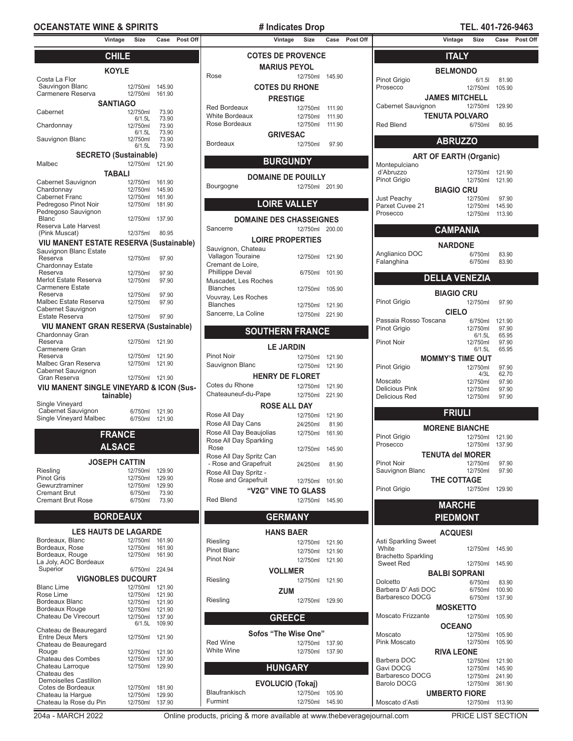## **OCEANSTATE WINE & SPIRITS**  $\qquad$  # Indicates Drop **TEL. 401-726-9463**

|                                                    | Vintage              | Size               | Case            | Post Off |
|----------------------------------------------------|----------------------|--------------------|-----------------|----------|
|                                                    | <b>CHILE</b>         |                    |                 |          |
|                                                    | <b>KOYLE</b>         |                    |                 |          |
| Costa La Flor                                      |                      |                    |                 |          |
| Sauvingon Blanc                                    |                      | 12/750ml           | 145.90          |          |
| Carmenere Reserva                                  |                      | 12/750ml           | 161.90          |          |
| Cabernet                                           | <b>SANTIAGO</b>      | 12/750ml           | 73.90           |          |
|                                                    |                      | 6/1.5L             | 73.90           |          |
| Chardonnay                                         |                      | 12/750ml<br>6/1.5L | 73.90<br>73.90  |          |
| Sauvignon Blanc                                    |                      | 12/750ml           | 73.90           |          |
|                                                    |                      | 6/1.5L             | 73.90           |          |
| <b>SECRETO (Sustainable)</b><br>Malbec             |                      | 12/750ml           |                 |          |
|                                                    | TABALI               |                    | 121.90          |          |
| Cabernet Sauvignon                                 |                      | 12/750ml           | 161.90          |          |
| Chardonnay                                         |                      | 12/750ml           | 145.90          |          |
| <b>Cabernet Franc</b>                              |                      | 12/750ml           | 161.90          |          |
| Pedregoso Pinot Noir                               |                      | 12/750ml           | 181.90          |          |
| Pedregoso Sauvignon<br><b>Blanc</b>                |                      | 12/750ml           | 137.90          |          |
| Reserva Late Harvest                               |                      |                    |                 |          |
| (Pink Muscat)                                      |                      | 12/375ml           | 80.95           |          |
| VIU MANENT ESTATE RESERVA (Sustainable)            |                      |                    |                 |          |
| Sauvignon Blanc Estate<br>Reserva                  |                      | 12/750ml           | 97.90           |          |
| Chardonnay Estate                                  |                      |                    |                 |          |
| Reserva<br>Merlot Estate Reserva                   |                      | 12/750ml           | 97.90           |          |
| <b>Carmenere Estate</b>                            |                      | 12/750ml           | 97.90           |          |
| Reserva                                            |                      | 12/750ml           | 97.90           |          |
| Malbec Estate Reserva                              |                      | 12/750ml           | 97.90           |          |
| Cabernet Sauvignon<br>Estate Reserva               |                      | 12/750ml           | 97.90           |          |
| <b>VIU MANENT GRAN RESERVA (Sustainable)</b>       |                      |                    |                 |          |
| Chardonnay Gran                                    |                      |                    |                 |          |
| Reserva                                            |                      | 12/750ml           | 121.90          |          |
| Carmenere Gran<br>Reserva                          |                      | 12/750ml           | 121.90          |          |
| Malbec Gran Reserva                                |                      | 12/750ml           | 121.90          |          |
| Cabernet Sauvignon                                 |                      |                    |                 |          |
| Gran Reserva                                       |                      | 12/750ml           | 121.90          |          |
| <b>VIU MANENT SINGLE VINEYARD &amp; ICON (Sus-</b> | tainable)            |                    |                 |          |
| Single Vineyard                                    |                      |                    |                 |          |
| Cabernet Sauvignon                                 |                      | 6/750ml            | 121.90          |          |
| Single Vineyard Malbec                             |                      | 6/750ml            | 121.90          |          |
|                                                    | <b>FRANCE</b>        |                    |                 |          |
|                                                    |                      |                    |                 |          |
|                                                    | <b>ALSACE</b>        |                    |                 |          |
|                                                    | <b>JOSEPH CATTIN</b> |                    |                 |          |
| Riesling<br>Dinot Cric                             |                      | 12/750ml<br>10750m | 129.90<br>12000 |          |

| Riesling                 | 12/750ml 129.90 |        |
|--------------------------|-----------------|--------|
| <b>Pinot Gris</b>        | 12/750ml        | 129.90 |
| Gewurztraminer           | 12/750ml        | 129.90 |
| <b>Cremant Brut</b>      | 6/750ml         | 73.90  |
| <b>Cremant Brut Rose</b> | 6/750ml         | 73.90  |
|                          |                 |        |

# **BORDEAUX**

| <b>LES HAUTS DE LAGARDE</b>  |          |        |
|------------------------------|----------|--------|
| Bordeaux, Blanc              | 12/750ml | 161.90 |
| Bordeaux, Rose               | 12/750ml | 161.90 |
| Bordeaux, Rouge              | 12/750ml | 161.90 |
| La Joly, AOC Bordeaux        |          |        |
| Superior                     | 6/750ml  | 224.94 |
| <b>VIGNOBLES DUCOURT</b>     |          |        |
| <b>Blanc Lime</b>            | 12/750ml | 121.90 |
| Rose Lime                    | 12/750ml | 121.90 |
| Bordeaux Blanc               | 12/750ml | 121.90 |
| <b>Bordeaux Rouge</b>        | 12/750ml | 121.90 |
| Chateau De Virecourt         | 12/750ml | 137.90 |
|                              | 6/1.5L   | 109.90 |
| Chateau de Beauregard        |          |        |
| <b>Entre Deux Mers</b>       | 12/750ml | 121.90 |
| Chateau de Beauregard        |          |        |
| Rouge                        | 12/750ml | 121.90 |
| Chateau des Combes           | 12/750ml | 137.90 |
| Chateau Larroque             | 12/750ml | 129.90 |
| Chateau des                  |          |        |
| <b>Demoiselles Castillon</b> |          |        |
| Cotes de Bordeaux            | 12/750ml | 181.90 |
| Chateau la Hargue            | 12/750ml | 129.90 |
| Chateau la Rose du Pin       | 12/750ml | 137 90 |

| # Indicates Drop    |                           |          |        |        |  |
|---------------------|---------------------------|----------|--------|--------|--|
|                     | Vintage                   | Size     | Case   | Post 0 |  |
|                     | <b>COTES DE PROVENCE</b>  |          |        |        |  |
|                     | <b>MARIUS PEYOL</b>       |          |        |        |  |
| Rose                |                           | 12/750ml | 145.90 |        |  |
|                     | <b>COTES DU RHONE</b>     |          |        |        |  |
|                     | <b>PRESTIGE</b>           |          |        |        |  |
| <b>Red Bordeaux</b> |                           | 12/750ml | 111.90 |        |  |
| White Bordeaux      |                           | 12/750ml | 111.90 |        |  |
| Rose Bordeaux       |                           | 12/750ml | 111.90 |        |  |
|                     | <b>GRIVESAC</b>           |          |        |        |  |
| <b>Bordeaux</b>     |                           | 12/750ml | 97.90  |        |  |
|                     |                           |          |        |        |  |
|                     | <b>BURGUNDY</b>           |          |        |        |  |
|                     | <b>DOMAINE DE POUILLY</b> |          |        |        |  |
| Bourgogne           |                           | 12/750ml | 201.90 |        |  |

# **LOIRE VALLEY**

| <b>DOMAINE DES CHASSEIGNES</b> |                 |        |  |  |
|--------------------------------|-----------------|--------|--|--|
| Sancerre                       | 12/750ml        | 200.00 |  |  |
| <b>LOIRE PROPERTIES</b>        |                 |        |  |  |
| Sauvignon, Chateau             |                 |        |  |  |
| Vallagon Touraine              | 12/750ml        | 121.90 |  |  |
| Cremant de Loire.              |                 |        |  |  |
| <b>Phillippe Deval</b>         | 6/750ml         | 101.90 |  |  |
| Muscadet. Les Roches           |                 |        |  |  |
| <b>Blanches</b>                | 12/750ml        | 105.90 |  |  |
| Vouvray, Les Roches            |                 |        |  |  |
| <b>Blanches</b>                | 12/750ml 121.90 |        |  |  |
| Sancerre, La Coline            | 12/750ml 221.90 |        |  |  |
|                                |                 |        |  |  |
| <b>SOUTHERN FRANCE</b>         |                 |        |  |  |

| <b>LE JARDIN</b>                                 |          |        |  |  |  |  |  |
|--------------------------------------------------|----------|--------|--|--|--|--|--|
| Pinot Noir                                       | 12/750ml | 121.90 |  |  |  |  |  |
| Sauvignon Blanc                                  | 12/750ml | 121.90 |  |  |  |  |  |
| <b>HENRY DE FLORET</b>                           |          |        |  |  |  |  |  |
| Cotes du Rhone                                   | 12/750ml | 121.90 |  |  |  |  |  |
| Chateauneuf-du-Pape                              | 12/750ml | 221.90 |  |  |  |  |  |
| <b>ROSE ALL DAY</b>                              |          |        |  |  |  |  |  |
| Rose All Day                                     | 12/750ml | 121.90 |  |  |  |  |  |
| Rose All Day Cans                                | 24/250ml | 81.90  |  |  |  |  |  |
| Rose All Day Beaujolias                          | 12/750ml | 161.90 |  |  |  |  |  |
| Rose All Day Sparkling                           |          |        |  |  |  |  |  |
| Rose                                             | 12/750ml | 145.90 |  |  |  |  |  |
| Rose All Day Spritz Can<br>- Rose and Grapefruit | 24/250ml | 81.90  |  |  |  |  |  |
| Rose All Day Spritz -                            |          |        |  |  |  |  |  |
| Rose and Grapefruit                              | 12/750ml | 101.90 |  |  |  |  |  |
| "V2G" VINE TO GLASS                              |          |        |  |  |  |  |  |
| Red Blend                                        | 12/750ml | 145.90 |  |  |  |  |  |
|                                                  |          |        |  |  |  |  |  |

# **GERMANY**

|                 | <b>HANS BAER</b>        |        |
|-----------------|-------------------------|--------|
| Riesling        | 12/750ml                | 121.90 |
| Pinot Blanc     | 12/750ml                | 121.90 |
| Pinot Noir      | 12/750ml                | 121.90 |
|                 | <b>VOLLMER</b>          |        |
| Riesling        | 12/750ml                | 121.90 |
|                 | <b>ZUM</b>              |        |
| Riesling        | 12/750ml                | 129.90 |
|                 |                         |        |
|                 | <b>GREECE</b>           |        |
|                 | Sofos "The Wise One"    |        |
| <b>Red Wine</b> | 12/750ml                | 137.90 |
| White Wine      | 12/750ml                | 137.90 |
|                 |                         |        |
|                 | <b>HUNGARY</b>          |        |
|                 | <b>EVOLUCIO (Tokaj)</b> |        |
| Blaufrankisch   | 12/750ml                | 105.90 |
| Furmint         | 12/750ml                | 145.90 |

| Vintage                  | Size                        |                  | Case Post Off |                                         | Vintage<br>Size           | Case   | <b>Post Off</b> |                                  | Vintage                       | Size                 |                  | Case Post Off |
|--------------------------|-----------------------------|------------------|---------------|-----------------------------------------|---------------------------|--------|-----------------|----------------------------------|-------------------------------|----------------------|------------------|---------------|
| <b>CHILE</b>             |                             |                  |               |                                         | <b>COTES DE PROVENCE</b>  |        |                 |                                  | <b>ITALY</b>                  |                      |                  |               |
| KOYLE                    |                             |                  |               |                                         | <b>MARIUS PEYOL</b>       |        |                 |                                  | <b>BELMONDO</b>               |                      |                  |               |
|                          |                             |                  |               | Rose                                    | 12/750ml 145.90           |        |                 | Pinot Grigio                     |                               | 6/1.51               | 81.90            |               |
|                          | 12/750ml                    | 145.90           |               |                                         | <b>COTES DU RHONE</b>     |        |                 | Prosecco                         |                               | 12/750ml             | 105.90           |               |
|                          | 12/750ml                    | 161.90           |               |                                         | <b>PRESTIGE</b>           |        |                 |                                  | <b>JAMES MITCHELL</b>         |                      |                  |               |
| <b>ANTIAGO</b>           |                             |                  |               | Red Bordeaux                            | 12/750ml                  | 111.90 |                 | Cabernet Sauvignon               |                               | 12/750ml             | 129.90           |               |
|                          | 12/750ml<br>6/1.5L          | 73.90<br>73.90   |               | White Bordeaux                          | 12/750ml 111.90           |        |                 |                                  | <b>TENUTA POLVARO</b>         |                      |                  |               |
|                          | 12/750ml                    | 73.90            |               | Rose Bordeaux                           | 12/750ml 111.90           |        |                 | <b>Red Blend</b>                 |                               | 6/750ml              | 80.95            |               |
|                          | 6/1.5L                      | 73.90            |               |                                         | <b>GRIVESAC</b>           |        |                 |                                  |                               |                      |                  |               |
|                          | 12/750ml<br>6/1.5L          | 73.90<br>73.90   |               | <b>Bordeaux</b>                         | 12/750ml                  | 97.90  |                 |                                  | <b>ABRUZZO</b>                |                      |                  |               |
| O (Sustainable)          |                             |                  |               |                                         |                           |        |                 |                                  | <b>ART OF EARTH (Organic)</b> |                      |                  |               |
|                          | 12/750ml 121.90             |                  |               |                                         | <b>BURGUNDY</b>           |        |                 | Montepulciano                    |                               |                      |                  |               |
| <b>TABALI</b>            |                             |                  |               |                                         | <b>DOMAINE DE POUILLY</b> |        |                 | d'Abruzzo                        |                               |                      | 12/750ml 121.90  |               |
|                          | 12/750ml                    | 161.90           |               | Bourgogne                               | 12/750ml 201.90           |        |                 | Pinot Grigio                     |                               |                      | 12/750ml 121.90  |               |
|                          | 12/750ml<br>12/750ml        | 145.90<br>161.90 |               |                                         |                           |        |                 |                                  | <b>BIAGIO CRU</b>             |                      |                  |               |
|                          | 12/750ml                    | 181.90           |               |                                         | <b>LOIRE VALLEY</b>       |        |                 | Just Peachy<br>Parxet Cuvee 21   |                               | 12/750ml<br>12/750ml | 97.90<br>145.90  |               |
|                          |                             |                  |               |                                         |                           |        |                 | Prosecco                         |                               |                      | 12/750ml 113.90  |               |
|                          | 12/750ml                    | 137.90           |               | <b>DOMAINE DES CHASSEIGNES</b>          |                           |        |                 |                                  |                               |                      |                  |               |
|                          | 12/375ml                    | 80.95            |               | Sancerre                                | 12/750ml 200.00           |        |                 |                                  | <b>CAMPANIA</b>               |                      |                  |               |
| TE RESERVA (Sustainable) |                             |                  |               |                                         | <b>LOIRE PROPERTIES</b>   |        |                 |                                  | <b>NARDONE</b>                |                      |                  |               |
|                          |                             |                  |               | Sauvignon, Chateau<br>Vallagon Touraine |                           |        |                 | Anglianico DOC                   |                               | 6/750ml              | 83.90            |               |
|                          | 12/750ml                    | 97.90            |               | Cremant de Loire,                       | 12/750ml 121.90           |        |                 | Falanghina                       |                               | 6/750ml              | 83.90            |               |
|                          | 12/750ml                    | 97.90            |               | <b>Phillippe Deval</b>                  | 6/750ml 101.90            |        |                 |                                  |                               |                      |                  |               |
|                          | 12/750ml                    | 97.90            |               | Muscadet, Les Roches                    |                           |        |                 |                                  | <b>DELLA VENEZIA</b>          |                      |                  |               |
|                          |                             |                  |               | <b>Blanches</b>                         | 12/750ml 105.90           |        |                 |                                  | <b>BIAGIO CRU</b>             |                      |                  |               |
|                          | 12/750ml<br>12/750ml        | 97.90<br>97.90   |               | Vouvray, Les Roches                     |                           |        |                 | Pinot Grigio                     |                               | 12/750ml             | 97.90            |               |
|                          |                             |                  |               | <b>Blanches</b>                         | 12/750ml 121.90           |        |                 |                                  | <b>CIELO</b>                  |                      |                  |               |
|                          | 12/750ml                    | 97.90            |               | Sancerre, La Coline                     | 12/750ml 221.90           |        |                 | Passaia Rosso Toscana            |                               | 6/750ml              | 121.90           |               |
| N RESERVA (Sustainable)  |                             |                  |               |                                         | <b>SOUTHERN FRANCE</b>    |        |                 | Pinot Grigio                     |                               | 12/750ml             | 97.90            |               |
|                          | 12/750ml                    | 121.90           |               |                                         |                           |        |                 | Pinot Noir                       |                               | 6/1.5L<br>12/750ml   | 65.95            |               |
|                          |                             |                  |               |                                         | <b>LE JARDIN</b>          |        |                 |                                  |                               | 6/1.5L               | 97.90<br>65.95   |               |
|                          | 12/750ml                    | 121.90           |               | <b>Pinot Noir</b>                       | 12/750ml 121.90           |        |                 |                                  | <b>MOMMY'S TIME OUT</b>       |                      |                  |               |
|                          | 12/750ml                    | 121.90           |               | Sauvignon Blanc                         | 12/750ml 121.90           |        |                 | Pinot Grigio                     |                               | 12/750ml             | 97.90            |               |
|                          | 12/750ml 121.90             |                  |               |                                         | <b>HENRY DE FLORET</b>    |        |                 |                                  |                               | 4/3L                 | 62.70            |               |
| E VINEYARD & ICON (Sus-  |                             |                  |               | Cotes du Rhone                          | 12/750ml 121.90           |        |                 | Moscato<br><b>Delicious Pink</b> |                               | 12/750ml<br>12/750ml | 97.90<br>97.90   |               |
| ainable)                 |                             |                  |               | Chateauneuf-du-Pape                     | 12/750ml 221.90           |        |                 | Delicious Red                    |                               | 12/750ml             | 97.90            |               |
|                          |                             |                  |               |                                         | <b>ROSE ALL DAY</b>       |        |                 |                                  |                               |                      |                  |               |
|                          | 6/750ml<br>6/750ml 121.90   | 121.90           |               | Rose All Day                            | 12/750ml 121.90           |        |                 |                                  | <b>FRIULI</b>                 |                      |                  |               |
|                          |                             |                  |               | Rose All Day Cans                       | 24/250ml                  | 81.90  |                 |                                  | <b>MORENE BIANCHE</b>         |                      |                  |               |
| <b>RANCE</b>             |                             |                  |               | Rose All Day Beaujolias                 | 12/750ml 161.90           |        |                 | Pinot Grigio                     |                               | 12/750ml             | 121.90           |               |
| <b>LSACE</b>             |                             |                  |               | Rose All Day Sparkling<br>Rose          | 12/750ml 145.90           |        |                 | Prosecco                         |                               |                      | 12/750ml 137.90  |               |
|                          |                             |                  |               | Rose All Day Spritz Can                 |                           |        |                 |                                  | <b>TENUTA del MORER</b>       |                      |                  |               |
| EPH CATTIN               |                             |                  |               | - Rose and Grapefruit                   | 24/250ml                  | 81.90  |                 | Pinot Noir                       |                               | 12/750ml             | 97.90            |               |
|                          | 12/750ml                    | 129.90           |               | Rose All Day Spritz -                   |                           |        |                 | Sauvignon Blanc                  |                               | 12/750ml             | 97.90            |               |
|                          | 12/750ml<br>12/750ml        | 129.90<br>129.90 |               | Rose and Grapefruit                     | 12/750ml 101.90           |        |                 |                                  | THE COTTAGE                   |                      |                  |               |
|                          | 6/750ml                     | 73.90            |               |                                         | "V2G" VINE TO GLASS       |        |                 | <b>Pinot Grigio</b>              |                               |                      | 12/750ml 129.90  |               |
|                          | 6/750ml                     | 73.90            |               | <b>Red Blend</b>                        | 12/750ml 145.90           |        |                 |                                  | <b>MARCHE</b>                 |                      |                  |               |
| <b>RDEAUX</b>            |                             |                  |               |                                         | <b>GERMANY</b>            |        |                 |                                  | <b>PIEDMONT</b>               |                      |                  |               |
|                          |                             |                  |               |                                         |                           |        |                 |                                  |                               |                      |                  |               |
| <b>TS DE LAGARDE</b>     |                             |                  |               |                                         | <b>HANS BAER</b>          |        |                 |                                  | <b>ACQUESI</b>                |                      |                  |               |
|                          | 12/750ml 161.90<br>12/750ml | 161.90           |               | Riesling<br>Pinot Blanc                 | 12/750ml 121.90           |        |                 | Asti Sparkling Sweet<br>White    |                               |                      | 12/750ml  145.90 |               |
|                          | 12/750ml 161.90             |                  |               | Pinot Noir                              | 12/750ml 121.90           |        |                 | <b>Brachetto Sparkling</b>       |                               |                      |                  |               |
|                          |                             |                  |               |                                         | 12/750ml 121.90           |        |                 | <b>Sweet Red</b>                 |                               |                      | 12/750ml 145.90  |               |

| <b>Brachetto Sparkling</b><br>Sweet Red | 12/750ml | 145.90 |  |
|-----------------------------------------|----------|--------|--|
|                                         |          |        |  |
| <b>BALBI SOPRANI</b>                    |          |        |  |
| Dolcetto                                | 6/750ml  | 83.90  |  |
| Barbera D'Asti DOC                      | 6/750ml  | 100.90 |  |
| Barbaresco DOCG                         | 6/750ml  | 137.90 |  |
| <b>MOSKETTO</b>                         |          |        |  |
| Moscato Frizzante                       | 12/750ml | 105.90 |  |
| <b>OCEANO</b>                           |          |        |  |
| Moscato                                 | 12/750ml | 105.90 |  |
| Pink Moscato                            | 12/750ml | 105.90 |  |
| <b>RIVA LEONE</b>                       |          |        |  |
| Barbera DOC                             | 12/750ml | 121.90 |  |
| Gavi DOCG                               | 12/750ml | 145.90 |  |
| Barbaresco DOCG                         | 12/750ml | 241.90 |  |
| Barolo DOCG                             | 12/750ml | 361.90 |  |
| <b>UMBERTO FIORE</b>                    |          |        |  |
| Moscato d'Asti                          | 12/750ml | 113.90 |  |
|                                         |          |        |  |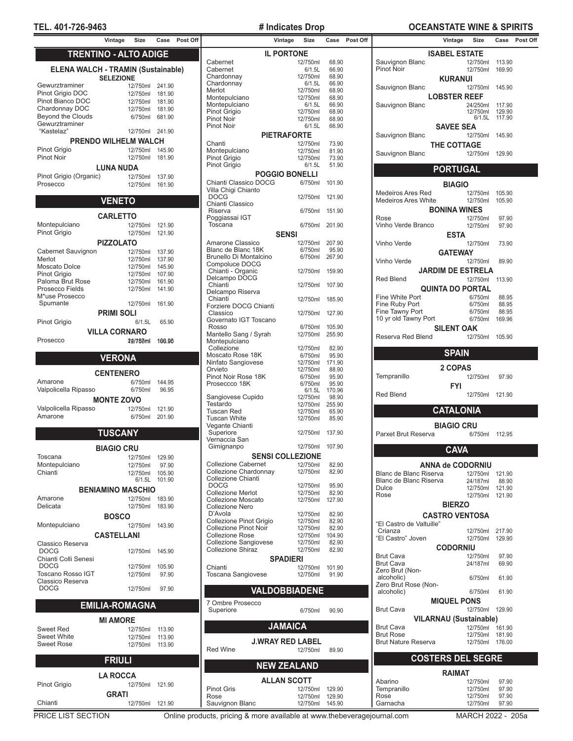# **TEL. 401-726-9463 # Indicates Drop OCEANSTATE WINE & SPIRITS**

|                                            | Vintage                      | <b>Size</b>          | Case             | Pos |
|--------------------------------------------|------------------------------|----------------------|------------------|-----|
|                                            | <b>TRENTINO - ALTO ADIGE</b> |                      |                  |     |
|                                            |                              |                      |                  |     |
| <b>ELENA WALCH - TRAMIN (Sustainable)</b>  |                              |                      |                  |     |
| Gewurztraminer                             | <b>SELEZIONE</b>             | 12/750ml             | 241.90           |     |
| Pinot Grigio DOC                           |                              | 12/750ml             | 181.90           |     |
| Pinot Bianco DOC                           |                              | 12/750ml             | 181.90           |     |
| Chardonnay DOC                             |                              | 12/750ml             | 181.90           |     |
| <b>Beyond the Clouds</b><br>Gewurztraminer |                              | 6/750ml              | 681.90           |     |
| "Kastelaz"                                 |                              | 12/750ml             | 241.90           |     |
|                                            | <b>PRENDO WILHELM WALCH</b>  |                      |                  |     |
| Pinot Grigio                               |                              | 12/750ml             | 145.90           |     |
| <b>Pinot Noir</b>                          |                              | 12/750ml             | 181.90           |     |
|                                            | <b>LUNA NUDA</b>             |                      |                  |     |
| Pinot Grigio (Organic)                     |                              | 12/750ml             | 137.90           |     |
| Prosecco                                   |                              | 12/750ml             | 161.90           |     |
|                                            | <b>VENETO</b>                |                      |                  |     |
|                                            |                              |                      |                  |     |
| Montepulciano                              | <b>CARLETTO</b>              | 12/750ml             | 121.90           |     |
| Pinot Grigio                               |                              | 12/750ml             | 121.90           |     |
|                                            | <b>PIZZOLATO</b>             |                      |                  |     |
| Cabernet Sauvignon                         |                              | 12/750ml             | 137.90           |     |
| Merlot                                     |                              | 12/750ml             | 137.90           |     |
| <b>Moscato Dolce</b>                       |                              | 12/750ml             | 145.90           |     |
| Pinot Grigio<br>Paloma Brut Rose           |                              | 12/750ml             | 107.90<br>161.90 |     |
| Prosecco Fields                            |                              | 12/750ml<br>12/750ml | 141.90           |     |
| M*use Prosecco                             |                              |                      |                  |     |
| Spumante                                   |                              | 12/750ml             | 161.90           |     |
|                                            | <b>PRIMI SOLI</b>            |                      |                  |     |
| Pinot Grigio                               |                              | 6/1.5L               | 65.90            |     |
|                                            | <b>VILLA CORNARO</b>         |                      |                  |     |
| Prosecco                                   |                              | 29/780ml             | 100.96           |     |
|                                            | <b>VERONA</b>                |                      |                  |     |
|                                            | <b>CENTENERO</b>             |                      |                  |     |
| Amarone                                    |                              | 6/750ml              | 144.95           |     |
| Valpolicella Ripasso                       |                              | 6/750ml              | 96.95            |     |
|                                            | <b>MONTE ZOVO</b>            |                      |                  |     |
| Valpolicella Ripasso                       |                              | 12/750ml             | 121.90           |     |
| Amarone                                    |                              | 6/750ml              | 201.90           |     |
|                                            | <b>TUSCANY</b>               |                      |                  |     |
|                                            |                              |                      |                  |     |
|                                            | <b>BIAGIO CRU</b>            |                      |                  |     |
| Toscana                                    |                              | 12/750ml             | 129.90           |     |
| Montepulciano<br>Chianti                   |                              | 12/750ml<br>12/750ml | 97.90<br>105.90  |     |
|                                            |                              | 6/1.5L               | 101.90           |     |
|                                            | <b>BENIAMINO MASCHIO</b>     |                      |                  |     |
| Amarone                                    |                              | 12/750ml             | 183.90           |     |
| Delicata                                   |                              | 12/750ml             | 183.90           |     |
|                                            | <b>BOSCO</b>                 |                      |                  |     |
| Montepulciano                              |                              | 12/750ml             | 143.90           |     |
|                                            | <b>CASTELLANI</b>            |                      |                  |     |
| Classico Reserva<br><b>DOCG</b>            |                              | 12/750ml             | 145.90           |     |
| Chianti Colli Senesi                       |                              |                      |                  |     |
| <b>DOCG</b>                                |                              | 12/750ml             | 105.90           |     |
| Toscano Rosso IGT<br>Classico Reserva      |                              | 12/750ml             | 97.90            |     |
| <b>DOCG</b>                                |                              | 12/750ml             | 97.90            |     |
|                                            |                              |                      |                  |     |
|                                            | <b>EMILIA-ROMAGNA</b>        |                      |                  |     |
|                                            | <b>MI AMORE</b>              |                      |                  |     |
| <b>Sweet Red</b>                           |                              | 12/750ml             | 113.90           |     |
| <b>Sweet White</b><br><b>Sweet Rose</b>    |                              | 12/750ml<br>12/750ml | 113.90<br>113.90 |     |
|                                            |                              |                      |                  |     |
|                                            | <b>FRIULI</b>                |                      |                  |     |
|                                            | <b>LA ROCCA</b>              |                      |                  |     |
| Pinot Grigio                               |                              | 12/750ml             | 121.90           |     |
|                                            | GRATI                        |                      |                  |     |

|                                   | vintage               | <b>SIZE</b>             | case            | ۲os |
|-----------------------------------|-----------------------|-------------------------|-----------------|-----|
|                                   | <b>IL PORTONE</b>     |                         |                 |     |
| Cabernet                          |                       | 12/750ml                | 68.90           |     |
| Cabernet                          |                       | 6/1.5L                  | 66.90           |     |
| Chardonnay                        |                       | 12/750ml                | 68.90           |     |
| Chardonnay                        |                       | 6/1.5L                  | 66.90           |     |
| Merlot                            |                       | 12/750ml                | 68.90           |     |
| Montepulciano                     |                       | 12/750ml                | 68.90           |     |
| Montepulciano                     |                       | 6/1.5L                  | 66.90           |     |
| Pinot Grigio<br><b>Pinot Noir</b> |                       | 12/750ml<br>12/750ml    | 68.90<br>68.90  |     |
| <b>Pinot Noir</b>                 |                       | 6/1.5L                  | 66.90           |     |
|                                   |                       |                         |                 |     |
|                                   | <b>PIETRAFORTE</b>    |                         |                 |     |
| Chanti                            |                       | 12/750ml                | 73.90           |     |
| Montepulciano                     |                       | 12/750ml                | 81.90           |     |
| Pinot Grigio                      |                       | 12/750ml                | 73.90<br>51.90  |     |
| Pinot Grigio                      |                       | 6/1.5L                  |                 |     |
|                                   | <b>POGGIO BONELLI</b> |                         |                 |     |
| Chianti Classico DOCG             |                       | 6/750ml                 | 101.90          |     |
| Villa Chigi Chianto               |                       |                         |                 |     |
| <b>DOCG</b>                       |                       | 12/750ml                | 121.90          |     |
| Chianti Classico                  |                       |                         |                 |     |
| Riserva                           |                       | 6/750ml                 | 151.90          |     |
| Poggiassai IGT<br>Toscana         |                       | 6/750ml                 | 201.90          |     |
|                                   |                       |                         |                 |     |
|                                   | <b>SENSI</b>          |                         |                 |     |
| Amarone Classico                  |                       | 12/750ml                | 207.90          |     |
| Blanc de Blanc 18K                |                       | 6/750ml                 | 95.90           |     |
| Brunello Di Montalcino            |                       | 6/750ml                 | 267.90          |     |
| Compoluce DOCG                    |                       |                         |                 |     |
| Chianti - Organic                 |                       | 12/750ml                | 159.90          |     |
| Delcampo DOCG<br>Chianti          |                       | 12/750ml                | 107.90          |     |
| Delcampo Riserva                  |                       |                         |                 |     |
| Chianti                           |                       | 12/750ml                | 185.90          |     |
| Forziere DOCG Chianti             |                       |                         |                 |     |
| Classico                          |                       | 12/750ml                | 127.90          |     |
| Governato IGT Toscano             |                       |                         |                 |     |
| Rosso                             |                       | 6/750ml                 | 105.90          |     |
| Mantello Sang / Syrah             |                       | 12/750ml                | 255.90          |     |
| Montepulciano                     |                       |                         |                 |     |
| Collezione                        |                       | 12/750ml                | 82.90           |     |
| Moscato Rose 18K                  |                       | 6/750ml                 | 95.90           |     |
| Ninfato Sangiovese                |                       | 12/750ml                | 171.90          |     |
| Orvieto                           |                       | 12/750ml                | 88.90           |     |
| Pinot Noir Rose 18K               |                       | 6/750ml                 | 95.90           |     |
| Proseccco 18K                     |                       | 6/750ml                 | 95.90           |     |
|                                   |                       | 6/1.5L                  | 170.96          |     |
| Sangiovese Cupido<br>Testardo     |                       | 12/750ml<br>12/750ml    | 98.90           |     |
| <b>Tuscan Red</b>                 |                       | 12/750ml                | 255.90<br>65.90 |     |
| <b>Tuscan White</b>               |                       | 12/750ml                | 85.90           |     |
| Vegante Chianti                   |                       |                         |                 |     |
| Superiore                         |                       | 12/750ml                | 137.90          |     |
| Vernaccia San                     |                       |                         |                 |     |
| Gimignanpo                        |                       | 12/750ml                | 107.90          |     |
|                                   |                       | <b>SENSI COLLEZIONE</b> |                 |     |
| <b>Collezione Cabernet</b>        |                       |                         |                 |     |
| Collezione Chardonnay             |                       | 12/750ml<br>12/750ml    | 82.90<br>82.90  |     |
| Collezione Chianti                |                       |                         |                 |     |
| <b>DOCG</b>                       |                       | 12/750ml                | 95.90           |     |
| <b>Collezione Merlot</b>          |                       | 12/750ml                | 82.90           |     |
| <b>Collezione Moscato</b>         |                       | 12/750ml                | 127.90          |     |
| <b>Collezione Nero</b>            |                       |                         |                 |     |
| D'Avola                           |                       | 12/750ml                | 82.90           |     |
| Collezione Pinot Grigio           |                       | 12/750ml                | 82.90           |     |
| <b>Collezione Pinot Noir</b>      |                       | 12/750ml                | 82.90           |     |
| <b>Collezione Rose</b>            |                       | 12/750ml                | 104.90          |     |
| Collezione Sangiovese             |                       | 12/750ml                | 82.90           |     |
| <b>Collezione Shiraz</b>          |                       | 12/750ml                | 82.90           |     |
|                                   | <b>SPADIERI</b>       |                         |                 |     |
| Chianti                           |                       | 12/750ml                | 101.90          |     |
| Toscana Sangiovese                |                       | 12/750ml                | 91.90           |     |
|                                   |                       |                         |                 |     |
|                                   |                       | VALDOBBIADENE           |                 |     |
|                                   |                       |                         |                 |     |
| 7 Ombre Prosecco                  |                       |                         |                 |     |
| Superiore                         |                       | 6/750ml                 | 90.90           |     |
|                                   |                       |                         |                 |     |
|                                   | <b>JAMAICA</b>        |                         |                 |     |
|                                   |                       |                         |                 |     |
|                                   |                       | <b>J.WRAY RED LABEL</b> |                 |     |
| <b>Red Wine</b>                   |                       | 12/750ml                | 89.90           |     |
|                                   |                       |                         |                 |     |
|                                   | <b>NEW ZEALAND</b>    |                         |                 |     |
|                                   |                       |                         |                 |     |
|                                   | <b>ALLAN SCOTT</b>    |                         |                 |     |
| <b>Pinot Gris</b>                 |                       | 12/750ml                | 129.90          |     |
| Rose                              |                       | 12/750ml                | 129.90          |     |
| Sauvignon Blanc                   |                       | 12/750ml                | 145.90          |     |

| Vintage           | Size                   |                  | Case Post Off |                                                     | Vintage<br>Size         |                 | Case Post Off |                                      | Vintage                       | Size                               |                 | Case Post Off |
|-------------------|------------------------|------------------|---------------|-----------------------------------------------------|-------------------------|-----------------|---------------|--------------------------------------|-------------------------------|------------------------------------|-----------------|---------------|
|                   |                        |                  |               |                                                     |                         |                 |               |                                      |                               |                                    |                 |               |
|                   | <b>O - ALTO ADIGE</b>  |                  |               |                                                     | <b>IL PORTONE</b>       |                 |               |                                      | <b>ISABEL ESTATE</b>          |                                    |                 |               |
|                   |                        |                  |               | Cabernet                                            | 12/750ml                | 68.90           |               | Sauvignon Blanc                      |                               | 12/750ml                           | 113.90          |               |
|                   | - TRAMIN (Sustainable) |                  |               | Cabernet                                            | 6/1.5L                  | 66.90           |               | Pinot Noir                           |                               | 12/750ml                           | 169.90          |               |
| <b>ELEZIONE</b>   |                        |                  |               | Chardonnay<br>Chardonnay                            | 12/750ml                | 68.90<br>66.90  |               |                                      | <b>KURANUI</b>                |                                    |                 |               |
|                   | 12/750ml 241.90        |                  |               | Merlot                                              | 6/1.5L<br>12/750ml      | 68.90           |               | Sauvignon Blanc                      |                               | 12/750ml                           | 145.90          |               |
|                   | 12/750ml               | 181.90           |               | Montepulciano                                       | 12/750ml                | 68.90           |               |                                      | <b>LOBSTER REEF</b>           |                                    |                 |               |
|                   | 12/750ml               | 181.90           |               | Montepulciano                                       | 6/1.5L                  | 66.90           |               | Sauvignon Blanc                      |                               | 24/250ml                           | 117.90          |               |
|                   | 12/750ml               | 181.90           |               | Pinot Grigio                                        | 12/750ml                | 68.90           |               |                                      |                               | 12/750ml                           | 129.90          |               |
|                   | 6/750ml                | 681.90           |               | Pinot Noir                                          | 12/750ml                | 68.90           |               |                                      |                               |                                    | 6/1.5L 117.90   |               |
|                   | 12/750ml 241.90        |                  |               | Pinot Noir                                          | 6/1.5L                  | 66.90           |               |                                      | <b>SAVEE SEA</b>              |                                    |                 |               |
|                   | <b>NILHELM WALCH</b>   |                  |               |                                                     | <b>PIETRAFORTE</b>      |                 |               | Sauvignon Blanc                      |                               | 12/750ml 145.90                    |                 |               |
|                   |                        |                  |               | Chanti                                              | 12/750ml                | 73.90           |               |                                      | <b>THE COTTAGE</b>            |                                    |                 |               |
|                   | 12/750ml<br>12/750ml   | 145.90<br>181.90 |               | Montepulciano                                       | 12/750ml                | 81.90           |               | Sauvignon Blanc                      |                               | 12/750ml 129.90                    |                 |               |
|                   |                        |                  |               | Pinot Grigio<br>Pinot Grigio                        | 12/750ml<br>6/1.5L      | 73.90<br>51.90  |               |                                      |                               |                                    |                 |               |
| INA NUDA          |                        |                  |               |                                                     | <b>POGGIO BONELLI</b>   |                 |               |                                      | <b>PORTUGAL</b>               |                                    |                 |               |
|                   | 12/750ml               | 137.90           |               | Chianti Classico DOCG                               | 6/750ml                 | 101.90          |               |                                      |                               |                                    |                 |               |
|                   | 12/750ml               | 161.90           |               | Villa Chigi Chianto                                 |                         |                 |               |                                      | <b>BIAGIO</b>                 |                                    |                 |               |
|                   |                        |                  |               | <b>DOCG</b>                                         | 12/750ml                | 121.90          |               | Medeiros Ares Red                    |                               | 12/750ml                           | 105.90          |               |
| <b>ENETO</b>      |                        |                  |               | Chianti Classico                                    |                         |                 |               | Medeiros Ares White                  |                               | 12/750ml                           | 105.90          |               |
| <b>ARLETTO</b>    |                        |                  |               | Riserva                                             | 6/750ml                 | 151.90          |               |                                      | <b>BONINA WINES</b>           |                                    |                 |               |
|                   |                        |                  |               | Poggiassai IGT                                      |                         |                 |               | Rose                                 |                               | 12/750ml                           | 97.90           |               |
|                   | 12/750ml               | 121.90           |               | Toscana                                             | 6/750ml                 | 201.90          |               | Vinho Verde Branco                   |                               | 12/750ml                           | 97.90           |               |
|                   | 12/750ml               | 121.90           |               |                                                     | <b>SENSI</b>            |                 |               |                                      | <b>ESTA</b>                   |                                    |                 |               |
| <b>ZZOLATO</b>    |                        |                  |               | Amarone Classico                                    | 12/750ml                | 207.90          |               | Vinho Verde                          |                               | 12/750ml                           | 73.90           |               |
|                   | 12/750ml               | 137.90           |               | Blanc de Blanc 18K                                  | 6/750ml                 | 95.90           |               |                                      | <b>GATEWAY</b>                |                                    |                 |               |
|                   | 12/750ml               | 137.90           |               | Brunello Di Montalcino<br>Compoluce DOCG            | 6/750ml                 | 267.90          |               | Vinho Verde                          |                               | 12/750ml                           | 89.90           |               |
|                   | 12/750ml               | 145.90           |               | Chianti - Organic                                   | 12/750ml                | 159.90          |               |                                      | <b>JARDIM DE ESTRELA</b>      |                                    |                 |               |
|                   | 12/750ml<br>12/750ml   | 107.90<br>161.90 |               | Delcampo DOCG                                       |                         |                 |               | <b>Red Blend</b>                     |                               | 12/750ml 113.90                    |                 |               |
|                   | 12/750ml               | 141.90           |               | Chianti                                             | 12/750ml                | 107.90          |               |                                      | <b>QUINTA DO PORTAL</b>       |                                    |                 |               |
|                   |                        |                  |               | Delcampo Riserva                                    |                         |                 |               | Fine White Port                      |                               | 6/750ml                            | 88.95           |               |
|                   | 12/750ml               | 161.90           |               | Chianti<br>Forziere DOCG Chianti                    | 12/750ml                | 185.90          |               | Fine Ruby Port                       |                               | 6/750ml                            | 88.95           |               |
| रा <b>MI SOLI</b> |                        |                  |               | Classico                                            | 12/750ml                | 127.90          |               | Fine Tawny Port                      |                               | 6/750ml                            | 88.95           |               |
|                   | 6/1.5L                 | 65.90            |               | Governato IGT Toscano                               |                         |                 |               | 10 yr old Tawny Port                 |                               | 6/750ml                            | 169.96          |               |
|                   |                        |                  |               | <b>Rosso</b>                                        | 6/750ml                 | 105.90          |               |                                      | <b>SILENT OAK</b>             |                                    |                 |               |
| <b>A CORNARO</b>  |                        |                  |               | Mantello Sang / Syrah                               | 12/750ml                | 255.90          |               | Reserva Red Blend                    |                               | 12/750ml                           | 105.90          |               |
|                   | 22/780ml               | 100.96           |               | Montepulciano                                       |                         |                 |               |                                      |                               |                                    |                 |               |
|                   |                        |                  |               | Collezione<br>Moscato Rose 18K                      | 12/750ml<br>6/750ml     | 82.90<br>95.90  |               |                                      | <b>SPAIN</b>                  |                                    |                 |               |
| <b>ERONA</b>      |                        |                  |               | Ninfato Sangiovese                                  | 12/750ml                | 171.90          |               |                                      |                               |                                    |                 |               |
|                   |                        |                  |               | Orvieto                                             | 12/750ml                | 88.90           |               |                                      | 2 COPAS                       |                                    |                 |               |
| <b>NTENERO</b>    |                        |                  |               | Pinot Noir Rose 18K                                 | 6/750ml                 | 95.90           |               | Tempranillo                          |                               | 12/750ml                           | 97.90           |               |
|                   | 6/750ml                | 144.95           |               | Proseccco 18K                                       | 6/750ml                 | 95.90           |               |                                      | <b>FYI</b>                    |                                    |                 |               |
|                   | 6/750ml                | 96.95            |               | Sangiovese Cupido                                   | 6/1.5L                  | 170.96          |               | <b>Red Blend</b>                     |                               | 12/750ml 121.90                    |                 |               |
| <b>NTE ZOVO</b>   |                        |                  |               | Testardo                                            | 12/750ml<br>12/750ml    | 98.90<br>255.90 |               |                                      |                               |                                    |                 |               |
|                   | 12/750ml               | 121.90           |               | <b>Tuscan Red</b>                                   | 12/750ml                | 65.90           |               |                                      | <b>CATALONIA</b>              |                                    |                 |               |
|                   | 6/750ml                | 201.90           |               | <b>Tuscan White</b>                                 | 12/750ml                | 85.90           |               |                                      |                               |                                    |                 |               |
|                   |                        |                  |               | Vegante Chianti                                     |                         |                 |               |                                      | <b>BIAGIO CRU</b>             |                                    |                 |               |
| <b>USCANY</b>     |                        |                  |               | Superiore                                           | 12/750ml                | 137.90          |               | Parxet Brut Reserva                  |                               | 6/750ml 112.95                     |                 |               |
|                   |                        |                  |               | Vernaccia San<br>Gimignanpo                         | 12/750ml 107.90         |                 |               |                                      |                               |                                    |                 |               |
| <b>AGIO CRU</b>   |                        |                  |               |                                                     |                         |                 |               |                                      | <b>CAVA</b>                   |                                    |                 |               |
|                   | 12/750ml               | 129.90           |               |                                                     | <b>SENSI COLLEZIONE</b> |                 |               |                                      |                               |                                    |                 |               |
|                   | 12/750ml               | 97.90            |               | <b>Collezione Cabernet</b><br>Collezione Chardonnay | 12/750ml<br>12/750ml    | 82.90<br>82.90  |               |                                      | <b>ANNA de CODORNIU</b>       |                                    |                 |               |
|                   | 12/750ml 105.90        | 6/1.5L 101.90    |               | Collezione Chianti                                  |                         |                 |               | Blanc de Blanc Riserva               |                               | 12/750ml 121.90                    |                 |               |
|                   |                        |                  |               | <b>DOCG</b>                                         | 12/750ml                | 95.90           |               | Blanc de Blanc Riserva<br>Dulce      |                               | 24/187ml<br>12/750ml               | 88.90<br>121.90 |               |
|                   | <b>IINO MASCHIO</b>    |                  |               | <b>Collezione Merlot</b>                            | 12/750ml                | 82.90           |               | Rose                                 |                               | 12/750ml 121.90                    |                 |               |
|                   | 12/750ml 183.90        |                  |               | <b>Collezione Moscato</b>                           | 12/750ml                | 127.90          |               |                                      | <b>BIERZO</b>                 |                                    |                 |               |
|                   | 12/750ml 183.90        |                  |               | Collezione Nero<br>D'Avola                          | 12/750ml                | 82.90           |               |                                      |                               |                                    |                 |               |
| BOSCO             |                        |                  |               | Collezione Pinot Grigio                             | 12/750ml                | 82.90           |               |                                      | <b>CASTRO VENTOSA</b>         |                                    |                 |               |
|                   | 12/750ml 143.90        |                  |               | Collezione Pinot Noir                               | 12/750ml                | 82.90           |               | "El Castro de Valtuille"             |                               |                                    |                 |               |
| <b>STELLANI</b>   |                        |                  |               | Collezione Rose                                     | 12/750ml                | 104.90          |               | Crianza<br>"El Castro" Joven         |                               | 12/750ml 217.90<br>12/750ml 129.90 |                 |               |
|                   |                        |                  |               | Collezione Sangiovese                               | 12/750ml                | 82.90           |               |                                      |                               |                                    |                 |               |
|                   | 12/750ml 145.90        |                  |               | <b>Collezione Shiraz</b>                            | 12/750ml                | 82.90           |               |                                      | <b>CODORNIU</b>               |                                    |                 |               |
|                   |                        |                  |               |                                                     | <b>SPADIERI</b>         |                 |               | <b>Brut Cava</b><br><b>Brut Cava</b> |                               | 12/750ml                           | 97.90           |               |
|                   | 12/750ml               | 105.90           |               | Chianti                                             | 12/750ml                | 101.90          |               | Zero Brut (Non-                      |                               | 24/187ml                           | 69.90           |               |
|                   | 12/750ml               | 97.90            |               | <b>Toscana Sangiovese</b>                           | 12/750ml                | 91.90           |               | alcoholic)                           |                               | 6/750ml                            | 61.90           |               |
|                   |                        |                  |               |                                                     |                         |                 |               | Zero Brut Rose (Non-                 |                               |                                    |                 |               |
|                   | 12/750ml               | 97.90            |               |                                                     | <b>VALDOBBIADENE</b>    |                 |               | alcoholic)                           |                               | 6/750ml                            | 61.90           |               |
|                   |                        |                  |               | 7 Ombre Prosecco                                    |                         |                 |               |                                      | <b>MIQUEL PONS</b>            |                                    |                 |               |
|                   | <b>A-ROMAGNA</b>       |                  |               | Superiore                                           | 6/750ml                 | 90.90           |               | <b>Brut Cava</b>                     |                               | 12/750ml 129.90                    |                 |               |
| <b>I AMORE</b>    |                        |                  |               |                                                     |                         |                 |               |                                      | <b>VILARNAU (Sustainable)</b> |                                    |                 |               |
|                   |                        |                  |               |                                                     | <b>JAMAICA</b>          |                 |               | <b>Brut Cava</b>                     |                               | 12/750ml 161.90                    |                 |               |
|                   | 12/750ml<br>12/750ml   | 113.90<br>113.90 |               |                                                     |                         |                 |               | <b>Brut Rose</b>                     |                               | 12/750ml 181.90                    |                 |               |
|                   | 12/750ml               | 113.90           |               |                                                     | <b>J.WRAY RED LABEL</b> |                 |               | <b>Brut Nature Reserva</b>           |                               | 12/750ml 176.00                    |                 |               |
|                   |                        |                  |               | <b>Red Wine</b>                                     | 12/750ml                | 89.90           |               |                                      |                               |                                    |                 |               |
| <u>FRIULI</u>     |                        |                  |               |                                                     |                         |                 |               |                                      | <b>COSTERS DEL SEGRE</b>      |                                    |                 |               |
|                   |                        |                  |               |                                                     | <b>NEW ZEALAND</b>      |                 |               |                                      |                               |                                    |                 |               |
| <b>A ROCCA</b>    |                        |                  |               |                                                     |                         |                 |               |                                      | <b>RAIMAT</b>                 |                                    |                 |               |
|                   | 12/750ml 121.90        |                  |               |                                                     | <b>ALLAN SCOTT</b>      |                 |               | Abarino                              |                               | 12/750ml                           | 97.90           |               |
| <b>GRATI</b>      |                        |                  |               | <b>Pinot Gris</b>                                   | 12/750ml 129.90         |                 |               | Tempranillo                          |                               | 12/750ml                           | 97.90           |               |
|                   |                        |                  |               | Rose                                                | 12/750ml 129.90         |                 |               | Rose                                 |                               | 12/750ml                           | 97.90           |               |

Chianti 12/750ml 121.90

PRICE LIST SECTION **Online products, pricing & more available at www.thebeveragejournal.com** MARCH 2022 - 205a

12/750ml 97.90<br>12/750ml 97.90

Garnacha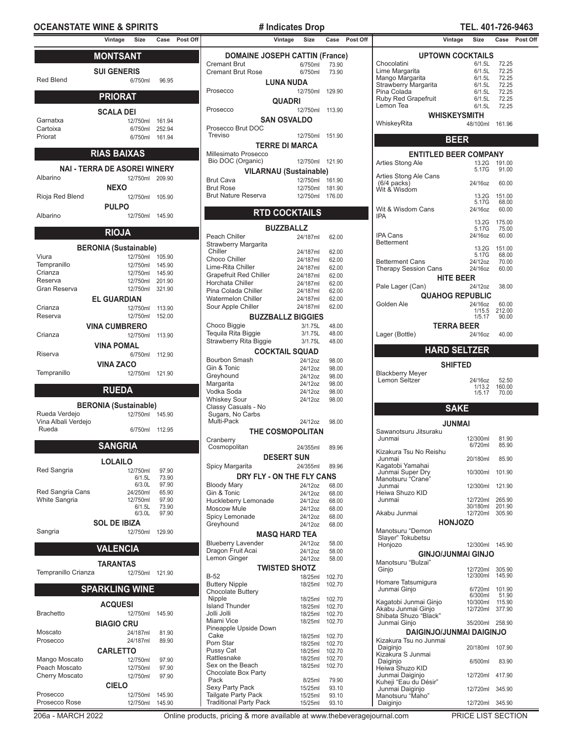### **OCEANSTATE WINE & SPIRITS # Indicates Drop TEL. 401-726-9463**

# **MONTSANT**

| Red Blend | <b>SUI GENERIS</b><br>6/750ml | 96.95  |  |
|-----------|-------------------------------|--------|--|
|           | <b>PRIORAT</b>                |        |  |
|           | <b>SCALA DEI</b>              |        |  |
| Garnatxa  | 12/750ml                      | 161.94 |  |
| Cartoixa  | 6/750ml                       | 252.94 |  |
| Priorat   | 6/750ml                       | 161.94 |  |
|           |                               |        |  |
|           | <b>RIAS BAIXAS</b>            |        |  |

| NAI - TERRA DE ASOREI WINERY |                 |  |  |  |
|------------------------------|-----------------|--|--|--|
| Albarino                     | 12/750ml 209.90 |  |  |  |
|                              | <b>NEXO</b>     |  |  |  |
| Rioja Red Blend              | 12/750ml 105.90 |  |  |  |
|                              | <b>PULPO</b>    |  |  |  |
| Albarino                     | 12/750ml 145.90 |  |  |  |

# **RIOJA**

|                    | <b>BERONIA (Sustainable)</b> |        |  |  |
|--------------------|------------------------------|--------|--|--|
| Viura              | 12/750ml                     | 105.90 |  |  |
| Tempranillo        | 12/750ml                     | 145.90 |  |  |
| Crianza            | 12/750ml                     | 145.90 |  |  |
| Reserva            | 12/750ml                     | 201.90 |  |  |
| Gran Reserva       | 12/750ml                     | 321.90 |  |  |
| <b>EL GUARDIAN</b> |                              |        |  |  |
| Crianza            | 12/750ml                     | 113.90 |  |  |
| Reserva            | 12/750ml                     | 152.00 |  |  |
|                    | <b>VINA CUMBRERO</b>         |        |  |  |
| Crianza            | 12/750ml                     | 113.90 |  |  |
|                    | <b>VINA POMAL</b>            |        |  |  |
| Riserva            | 6/750ml                      | 112.90 |  |  |
|                    | <b>VINA ZACO</b>             |        |  |  |
| Tempranillo        | 12/750ml                     | 121.90 |  |  |

### **RUEDA**

### **BERONIA (Sustainable)** Rue 145.90

| Rueda Verdejo       | 12/750ml | 145.90 |
|---------------------|----------|--------|
| Vina Albali Verdejo |          |        |
| Rueda               | 6/750ml  | 112.95 |

|                      | <b>SANGRIA</b>      |        |
|----------------------|---------------------|--------|
|                      | LOLAILO             |        |
| Red Sangria          | 12/750ml            | 97.90  |
|                      | 6/1.5L              | 73.90  |
|                      | 6/3 OI              | 97.90  |
| Red Sangria Cans     | 24/250ml            | 65.90  |
| <b>White Sangria</b> | 12/750ml            | 97.90  |
|                      | 6/1.5L              | 73.90  |
|                      | 6/3 OI              | 97.90  |
|                      | <b>SOL DE IBIZA</b> |        |
| Sangria              | 12/750ml            | 129.90 |
|                      |                     |        |

### **VALENCIA**

**TARANTAS**

Tempranillo Crianza

| <b>SPARKLING WINE</b> |  |
|-----------------------|--|

| <b>ACQUESI</b>        |                   |        |  |  |  |  |
|-----------------------|-------------------|--------|--|--|--|--|
| <b>Brachetto</b>      | 12/750ml          | 145.90 |  |  |  |  |
|                       | <b>BIAGIO CRU</b> |        |  |  |  |  |
| Moscato               | 24/187ml          | 81.90  |  |  |  |  |
| Prosecco              | 24/187ml          | 89.90  |  |  |  |  |
| <b>CARLETTO</b>       |                   |        |  |  |  |  |
| Mango Moscato         | 12/750ml          | 97.90  |  |  |  |  |
| Peach Moscato         | 12/750ml          | 97.90  |  |  |  |  |
| <b>Cherry Moscato</b> | 12/750ml          | 97.90  |  |  |  |  |
| <b>CIELO</b>          |                   |        |  |  |  |  |
| Prosecco              | 12/750ml          | 145.90 |  |  |  |  |
| Prosecco Rose         | 12/750ml          | 145.90 |  |  |  |  |

|                               | <b>DOMAINE JOSEPH CATTIN (France)</b> |  |
|-------------------------------|---------------------------------------|--|
| <b>Cremant Brut</b>           | 6/750ml<br>73.90                      |  |
| <b>Cremant Brut Rose</b>      |                                       |  |
|                               | 6/750ml<br>73.90                      |  |
|                               | LUNA NUDA                             |  |
| Prosecco                      | 12/750ml<br>129.90                    |  |
|                               |                                       |  |
|                               | <b>QUADRI</b>                         |  |
|                               | 12/750ml                              |  |
| Prosecco                      | 113.90                                |  |
|                               | <b>SAN OSVALDO</b>                    |  |
|                               |                                       |  |
| Prosecco Brut DOC             |                                       |  |
| Treviso                       | 12/750ml<br>151.90                    |  |
|                               | <b>TERRE DI MARCA</b>                 |  |
|                               |                                       |  |
| Millesimato Prosecco          |                                       |  |
| Bio DOC (Organic)             | 12/750ml<br>121.90                    |  |
|                               |                                       |  |
|                               | <b>VILARNAU (Sustainable)</b>         |  |
| <b>Brut Cava</b>              | 12/750ml<br>161.90                    |  |
| <b>Brut Rose</b>              | 12/750ml<br>181.90                    |  |
|                               |                                       |  |
| <b>Brut Nature Reserva</b>    | 12/750ml<br>176.00                    |  |
|                               |                                       |  |
|                               | <b>RTD COCKTAILS</b>                  |  |
|                               |                                       |  |
|                               |                                       |  |
|                               | <b>BUZZBALLZ</b>                      |  |
| Peach Chiller                 | 24/187ml<br>62.00                     |  |
|                               |                                       |  |
| Strawberry Margarita          |                                       |  |
| Chiller                       | 24/187ml<br>62.00                     |  |
| Choco Chiller                 | 24/187ml<br>62.00                     |  |
| Lime-Rita Chiller             | 24/187ml                              |  |
|                               | 62.00                                 |  |
| <b>Grapefruit Red Chiller</b> | 24/187ml<br>62.00                     |  |
| Horchata Chiller              | 24/187ml<br>62.00                     |  |
| Pina Colada Chiller           | 24/187ml<br>62.00                     |  |
|                               |                                       |  |
| <b>Watermelon Chiller</b>     | 24/187ml<br>62.00                     |  |
| Sour Apple Chiller            | 24/187ml<br>62.00                     |  |
|                               |                                       |  |
|                               | <b>BUZZBALLZ BIGGIES</b>              |  |
| Choco Biggie                  | 3/1.75L<br>48.00                      |  |
| Tequila Rita Biggie           | 3/1.75L<br>48.00                      |  |
|                               |                                       |  |
| Strawberry Rita Biggie        | 3/1.75L<br>48.00                      |  |
|                               | <b>COCKTAIL SQUAD</b>                 |  |
|                               |                                       |  |
| Bourbon Smash                 | 24/12oz<br>98.00                      |  |
| Gin & Tonic                   | 24/12oz<br>98.00                      |  |
| Greyhound                     | 24/12oz<br>98.00                      |  |
|                               |                                       |  |
| Margarita                     | 24/12oz<br>98.00                      |  |
| Vodka Soda                    | 24/12oz<br>98.00                      |  |
| <b>Whiskey Sour</b>           | 24/12oz                               |  |
|                               | 98.00                                 |  |
| Classy Casuals - No           |                                       |  |
| Sugars, No Carbs              |                                       |  |
| Multi-Pack                    | 24/12oz<br>98.00                      |  |
|                               |                                       |  |
|                               | <b>THE COSMOPOLITAN</b>               |  |
| Cranberry                     |                                       |  |
| Cosmopolitan                  |                                       |  |
|                               | 24/355ml<br>89.96                     |  |
|                               | <b>DESERT SUN</b>                     |  |
|                               |                                       |  |
| Spicy Margarita               | 24/355ml<br>89.96                     |  |
|                               | DRY FLY - ON THE FLY CANS             |  |
|                               |                                       |  |
| <b>Bloody Mary</b>            | 24/12oz<br>68.00                      |  |
| Gin & Tonic                   | 24/12oz<br>68.00                      |  |
| Huckleberry Lemonade          | 24/12oz<br>68.00                      |  |
|                               |                                       |  |
| Moscow Mule                   | 24/12oz<br>68.00                      |  |
| Spicy Lemonade                | 24/12oz<br>68.00                      |  |
| Greyhound                     | 24/12oz<br>68.00                      |  |
|                               |                                       |  |
|                               | <b>MASQ HARD TEA</b>                  |  |
| <b>Blueberry Lavender</b>     | 24/12oz                               |  |
|                               | 58.00                                 |  |
| Dragon Fruit Acai             | 24/12oz<br>58.00                      |  |
| Lemon Ginger                  | 24/12oz<br>58.00                      |  |
|                               | <b>TWISTED SHOTZ</b>                  |  |
|                               |                                       |  |
| B-52                          | 18/25ml<br>102.70                     |  |
| <b>Buttery Nipple</b>         | 18/25ml<br>102.70                     |  |
|                               |                                       |  |
| <b>Chocolate Buttery</b>      |                                       |  |
| Nipple                        | 18/25ml<br>102.70                     |  |
| <b>Island Thunder</b>         | 18/25ml<br>102.70                     |  |
| Jolli Jolli                   | 18/25ml<br>102.70                     |  |
| Miami Vice                    |                                       |  |
|                               | 18/25ml<br>102.70                     |  |
| Pineapple Upside Down         |                                       |  |
| Cake                          | 18/25ml<br>102.70                     |  |
| Porn Star                     | 18/25ml<br>102.70                     |  |
| Pussy Cat                     |                                       |  |
|                               | 18/25ml<br>102.70                     |  |
| Rattlesnake                   | 18/25ml<br>102.70                     |  |
| Sex on the Beach              | 18/25ml<br>102.70                     |  |
| Chocolate Box Party           |                                       |  |
| Pack                          | 8/25ml<br>79.90                       |  |
|                               |                                       |  |
| Sexy Party Pack               | 15/25ml<br>93.10                      |  |
| Tailgate Party Pack           | 15/25ml<br>93.10                      |  |
| <b>Traditional Party Pack</b> | 15/25ml<br>93.10                      |  |
|                               |                                       |  |
|                               | ٠.۱.                                  |  |

**Vintage Size Case Post Off Vintage Size Case Post Off Vintage Size Case Post Off UPTOWN COCKTAILS** Chocolatini 6/1.5L 72.25<br>
Lime Margarita 6/1.5L 72.25 Lime Margarita 6/1.5L 72.25 Mango Margarita 6/1.5L 72.25 Strawberry Margarita 6/1.5L 72.25<br>Pina Colada 6/1.5L 72.25 Pina Colada<br>
Pina Colada 6/1.5L 72.25<br>
Ruby Red Grapefruit 6/1.5L 72.25 Ruby Red Grapefruit 6/1.5L 72.25<br>Lemon Tea 6/1.5L 72.25 Lemon Tea **WHISKEYSMITH** WhiskeyRita 48/100ml 161.96 **BEER ENTITLED BEER COMPANY** Arties Stong Ale 13.2G<br>5.17G 191.00<br>91.00 Arties Stong Ale Cans (6/4 packs) 24/16oz 60.00 Wit & Wisdom 13.2G 151.00 5.17G 68.00 Wit & Wisdom Cans 24/16oz 60.00 IPA 13.2G 175.00<br>5.17G 75.00 5.17G 75.00 **IPA Cans** Betterment 13.2G 151.00 5.17G 68.00<br>24/12oz 70.00 Betterment Cans<br>
Therapy Session Cans<br>
24/16oz 60.00 Therapy Session Cans **HITE BEER** Pale Lager (Can) 24/12oz 38.00 **QUAHOG REPUBLIC** Golden Ale 24/16oz 60.00<br>1/15.5 212.00<br>1/5.17 90.00 1/15.5 212.00 1/5.17 90.00 **TERRA BEER** Lager (Bottle) 24/16oz 40.00 **HARD SELTZER SHIFTED** Blackberry Meyer Lemon Seltzer 24/16oz 52.50 1/13.2 160.00 1/5.17 70.00 **SAKE JUNMAI** Sawanotsuru Jitsuraku<br>Junmai Junmai 12/300ml 81.90 6/720ml 85.90 Kizakura Tsu No Reishu 20/180ml 85.90 Kagatobi Yamahai Junmai Super Dry 10/300ml 101.90 Manotsuru "Crane"<br>Junmai 12/300ml 121.90 Heiwa Shuzo KID<br>Junmai 12/720ml 265.90<br>30/180ml 201.90 30/180ml 201.90 Akabu Junmai **HONJOZO** Manotsuru "Demon Slayer" Tokubetsu Honjozo 12/300ml 145.90 **GINJO/JUNMAI GINJO** Manotsuru "Bulzai"<br>Ginjo Ginjo 12/720ml 305.90 12/300ml 145.90 Homare Tatsumigura Junmai Ginjo 6/720ml 101.90 6/300ml 51.90<br>10/300ml 115.90 Kagatobi Junmai Ginjo 10/300ml 115.90 Akabu Junmai Ginjo 12/720ml 377.90 Shibata Shuzo "Black" Junmai Ginjo 35/200ml 258.90 **DAIGINJO/JUNMAI DAIGINJO** Kizakura Tsu no Junmai 20/180ml 107.90 Kizakura S Junmai Daiginjo 6/500ml 83.90 Heiwa Shuzo KID Junmai Daiginjo 12/720ml 417.90 Kuheji "Eau du Désir" Junmai Daiginjo 12/720ml 345.90 Manotsuru "Maho"<br>Daiginjo Daiginjo 12/720ml 345.90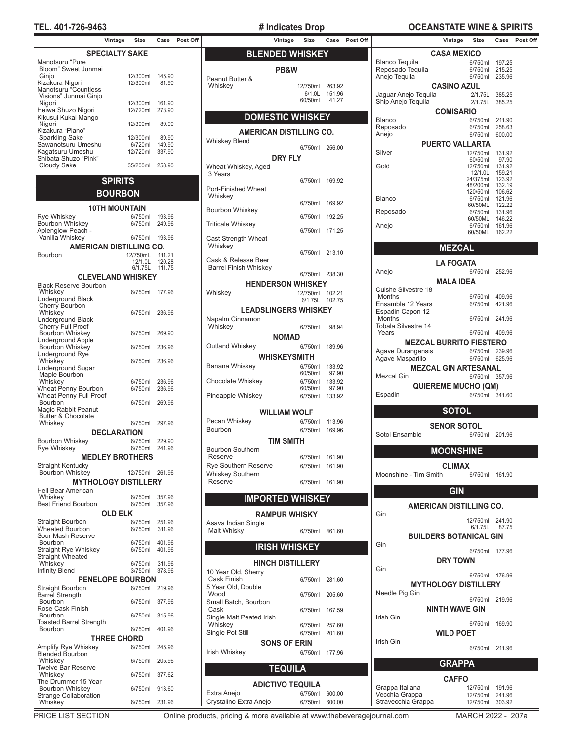# **TEL. 401-726-9463 # Indicates Drop OCEANSTATE WINE & SPIRITS**

| Vintage                                                | Size                | Case             |
|--------------------------------------------------------|---------------------|------------------|
| <b>SPECIALTY SAKE</b>                                  |                     |                  |
| Manotsuru "Pure<br>Bloom" Sweet Junmai                 |                     |                  |
| Ginjo                                                  | 12/300ml            | 145.90           |
| Kizakura Nigori                                        | 12/300ml            | 81.90            |
| Manotsuru "Countless<br>Visions" Junmai Ginjo          |                     |                  |
| Nigori                                                 | 12/300ml            | 161.90           |
| Heiwa Shuzo Nigori                                     | 12/720ml            | 273.90           |
| Kikusui Kukai Mango<br>Nigori                          | 12/300ml            | 89.90            |
| Kizakura "Piano"                                       |                     |                  |
| <b>Sparkling Sake</b>                                  | 12/300ml            | 89.90            |
| Sawanotsuru Umeshu<br>Kagatsuru Umeshu                 | 6/720ml<br>12/720ml | 149.90<br>337.90 |
| Shibata Shuzo "Pink"                                   |                     |                  |
| <b>Cloudy Sake</b>                                     | 35/200ml            | 258.90           |
| <b>SPIRITS</b>                                         |                     |                  |
| <b>BOURBON</b>                                         |                     |                  |
|                                                        |                     |                  |
| <b>10TH MOUNTAIN</b>                                   |                     |                  |
| Rye Whiskey<br><b>Bourbon Whiskey</b>                  | 6/750ml<br>6/750ml  | 193.96<br>249.96 |
| Aplenglow Peach -                                      |                     |                  |
| Vanilla Whiskey                                        | 6/750ml             | 193.96           |
| AMERICAN DISTILLING CO.                                |                     |                  |
| Bourbon                                                | 12/750mL<br>12/1.0L | 111.21<br>120.28 |
|                                                        | 6/1.75L             | 111.75           |
| <b>CLEVELAND WHISKEY</b>                               |                     |                  |
| <b>Black Reserve Bourbon</b><br>Whiskey                | 6/750ml             | 177.96           |
| Underground Black                                      |                     |                  |
| Cherry Bourbon                                         |                     |                  |
| Whiskey<br>Underground Black                           | 6/750ml             | 236.96           |
| Cherry Full Proof                                      |                     |                  |
| Bourbon Whiskey                                        | 6/750ml             | 269.90           |
| <b>Underground Apple</b><br>Bourbon Whiskey            | 6/750ml             | 236.96           |
| Underground Rye                                        |                     |                  |
| Whiskey<br>Underground Sugar                           | 6/750ml             | 236.96           |
| Maple Bourbon                                          |                     |                  |
| Whiskey                                                | 6/750ml             | 236.96           |
| Wheat Penny Bourbon<br>Wheat Penny Full Proof          | 6/750ml             | 236.96           |
| Bourbon                                                | 6/750ml             | 269.96           |
| Magic Rabbit Peanut<br><b>Butter &amp; Chocolate</b>   |                     |                  |
| Whiskey                                                | 6/750ml             | 297.96           |
| DECLARATION                                            |                     |                  |
| <b>Bourbon Whiskey</b><br>Rye Whiskey                  | 6/750ml<br>6/750ml  | 229.90<br>241.96 |
| <b>MEDLEY BROTHERS</b>                                 |                     |                  |
| <b>Straight Kentucky</b>                               |                     |                  |
| <b>Bourbon Whiskey</b>                                 | 12/750ml            | 261.96           |
| <b>MYTHOLOGY DISTILLERY</b>                            |                     |                  |
| Hell Bear American<br>Whiskey                          | 6/750ml             | 357.96           |
| <b>Best Friend Bourbon</b>                             | 6/750ml             | 357.96           |
| <b>OLD ELK</b>                                         |                     |                  |
| Straight Bourbon<br><b>Wheated Bourbon</b>             | 6/750ml<br>6/750ml  | 251.96<br>311.96 |
| Sour Mash Reserve                                      |                     |                  |
| Bourbon                                                | 6/750ml<br>6/750ml  | 401.96<br>401.96 |
| <b>Straight Rye Whiskey</b><br><b>Straight Wheated</b> |                     |                  |
| Whiskey                                                | 6/750ml             | 311.96           |
| <b>Infinity Blend</b>                                  | 3/750ml             | 378.96           |
| <b>PENELOPE BOURBON</b>                                | 6/750ml             |                  |
| Straight Bourbon<br><b>Barrel Strength</b>             |                     | 219.96           |
| Bourbon                                                | 6/750ml             | 377.96           |
| Rose Cask Finish<br>Bourbon                            | 6/750ml             | 315.96           |
| <b>Toasted Barrel Strength</b>                         |                     |                  |
| Bourbon                                                | 6/750ml             | 401.96           |
| <b>THREE CHORD</b>                                     |                     |                  |
| Amplify Rye Whiskey<br><b>Blended Bourbon</b>          | 6/750ml             | 245.96           |
| Whiskey                                                | 6/750ml             | 205.96           |
| <b>Twelve Bar Reserve</b><br>Whiskey                   | 6/750ml             | 377.62           |
| The Drummer 15 Year                                    |                     |                  |
| Bourbon Whiskey<br>Strange Collaboration               | 6/750ml             | 913.60           |
| Whiskey                                                | 6/750ml             | 231.96           |

| <b>BLENDED WHISKEY</b>                   |                     |                  |  |  |
|------------------------------------------|---------------------|------------------|--|--|
| PB&W                                     |                     |                  |  |  |
| Peanut Butter &<br>Whiskey               | 12/750ml            | 263.92           |  |  |
|                                          | 6/1.0L              | 151.96           |  |  |
|                                          | 60/50ml             | 41.27            |  |  |
| <b>DOMESTIC WHISKEY</b>                  |                     |                  |  |  |
| <b>AMERICAN DISTILLING CO.</b>           |                     |                  |  |  |
| <b>Whiskey Blend</b>                     | 6/750ml 256.00      |                  |  |  |
| <b>DRY FLY</b>                           |                     |                  |  |  |
| Wheat Whiskey, Aged<br>3 Years           |                     |                  |  |  |
| Port-Finished Wheat                      | 6/750ml             | 169.92           |  |  |
| Whiskey                                  | 6/750ml             | 169.92           |  |  |
| Bourbon Whiskey                          | 6/750ml             | 192.25           |  |  |
| <b>Triticale Whiskey</b>                 | 6/750ml             | 171.25           |  |  |
| Cast Strength Wheat<br>Whiskey           |                     |                  |  |  |
| Cask & Release Beer                      | 6/750ml             | 213.10           |  |  |
| <b>Barrel Finish Whiskey</b>             | 6/750ml             | 238.30           |  |  |
| <b>HENDERSON WHISKEY</b>                 |                     |                  |  |  |
| Whiskey                                  | 12/750ml<br>6/1.75L | 102.21<br>102.75 |  |  |
| <b>LEADSLINGERS WHISKEY</b>              |                     |                  |  |  |
| Napalm Cinnamon<br>Whiskey               | 6/750ml             | 98.94            |  |  |
| <b>NOMAD</b>                             |                     |                  |  |  |
| Outland Whiskey                          | 6/750ml             | 189.96           |  |  |
| WHISKEYSMITH<br>Banana Whiskey           | 6/750ml             | 133.92           |  |  |
|                                          | 60/50ml             | 97.90            |  |  |
| Chocolate Whiskey                        | 6/750ml<br>60/50ml  | 133.92<br>97.90  |  |  |
| Pineapple Whiskey                        | 6/750ml             | 133.92           |  |  |
| <b>WILLIAM WOLF</b>                      |                     |                  |  |  |
| Pecan Whiskey<br>Bourbon                 | 6/750ml<br>6/750ml  | 113.96<br>169.96 |  |  |
| TIM SMITH                                |                     |                  |  |  |
| <b>Bourbon Southern</b>                  |                     |                  |  |  |
| Reserve<br>Rye Southern Reserve          | 6/750ml<br>6/750ml  | 161.90<br>161.90 |  |  |
| Whiskey Southern<br>Reserve              | 6/750ml             | 161.90           |  |  |
|                                          |                     |                  |  |  |
| <b>IMPORTED WHISKEY</b>                  |                     |                  |  |  |
| <b>RAMPUR WHISKY</b>                     |                     |                  |  |  |
| Asava Indian Single<br>Malt Whisky       | 6/750ml             | 461.60           |  |  |
| <b>IRISH WHISKEY</b>                     |                     |                  |  |  |
| <b>HINCH DISTILLERY</b>                  |                     |                  |  |  |
| 10 Year Old, Sherry                      |                     |                  |  |  |
| <b>Cask Finish</b><br>5 Year Old, Double | 6/750ml             | 281.60           |  |  |
| Wood<br>Small Batch, Bourbon             | 6/750ml             | 205.60           |  |  |
| Cask                                     | 6/750ml             | 167.59           |  |  |
| Single Malt Peated Irish<br>Whiskey      | 6/750ml             | 257.60           |  |  |
| Single Pot Still                         | 6/750ml             | 201.60           |  |  |
| <b>SONS OF ERIN</b><br>Irish Whiskey     | 6/750ml             | 177.96           |  |  |
|                                          |                     |                  |  |  |
| <b>TEQUILA</b>                           |                     |                  |  |  |
| <b>ADICTIVO TEQUILA</b>                  |                     |                  |  |  |
| Extra Anejo<br>Crystalino Extra Anejo    | 6/750ml<br>6/750ml  | 600.00<br>600.00 |  |  |
|                                          |                     |                  |  |  |

| Vintage            | Size                       | Case             | Post Off | Vintage                                        | Size               | Case                   | Post Off |                                                     | Vintage                        | Size                               |                  | Case Post Off |
|--------------------|----------------------------|------------------|----------|------------------------------------------------|--------------------|------------------------|----------|-----------------------------------------------------|--------------------------------|------------------------------------|------------------|---------------|
| <b>IALTY SAKE:</b> |                            |                  |          | <b>BLENDED WHISKEY</b>                         |                    |                        |          |                                                     | <b>CASA MEXICO</b>             |                                    |                  |               |
|                    |                            |                  |          | PB&W                                           |                    |                        |          | <b>Blanco Tequila</b><br>Reposado Tequila           |                                | 6/750ml 197.25<br>6/750ml 215.25   |                  |               |
|                    | 12/300ml                   | 145.90           |          | Peanut Butter &                                |                    |                        |          | Anejo Tequila                                       |                                | 6/750ml 235.96                     |                  |               |
|                    | 12/300ml                   | 81.90            |          | Whiskey                                        | 12/750ml 263.92    |                        |          |                                                     | <b>CASINO AZUL</b>             |                                    |                  |               |
|                    |                            |                  |          |                                                | 60/50ml            | 6/1.0L 151.96<br>41.27 |          | Jaguar Anejo Tequila<br>Ship Anejo Tequila          |                                | 2/1.75L 385.25<br>2/1.75L 385.25   |                  |               |
|                    | 12/300ml<br>12/720ml       | 161.90<br>273.90 |          |                                                |                    |                        |          |                                                     | <b>COMISARIO</b>               |                                    |                  |               |
|                    |                            |                  |          | <b>DOMESTIC WHISKEY</b>                        |                    |                        |          | Blanco                                              |                                | 6/750ml                            | 211.90           |               |
|                    | 12/300ml                   | 89.90            |          | <b>AMERICAN DISTILLING CO.</b>                 |                    |                        |          | Reposado<br>Anejo                                   |                                | 6/750ml<br>6/750ml                 | 258.63<br>600.00 |               |
|                    | 12/300ml<br>6/720ml        | 89.90<br>149.90  |          | Whiskey Blend                                  |                    |                        |          |                                                     | <b>PUERTO VALLARTA</b>         |                                    |                  |               |
|                    | 12/720ml                   | 337.90           |          |                                                |                    | 6/750ml 256.00         |          | Silver                                              |                                | 12/750ml 131.92                    |                  |               |
|                    | 35/200ml                   | 258.90           |          | <b>DRY FLY</b><br>Wheat Whiskey, Aged          |                    |                        |          | Gold                                                |                                | 60/50ml<br>12/750ml 131.92         | 97.90            |               |
|                    |                            |                  |          | 3 Years                                        |                    |                        |          |                                                     |                                | 12/1.0L                            | 159.21           |               |
| SPIRITS            |                            |                  |          | Port-Finished Wheat                            |                    | 6/750ml 169.92         |          |                                                     |                                | 24/375ml<br>48/200ml               | 123.92<br>132.19 |               |
| <b>DURBON</b>      |                            |                  |          | Whiskey                                        |                    |                        |          | <b>Blanco</b>                                       |                                | 120/50ml<br>6/750ml                | 106.62<br>121.96 |               |
|                    | <b>MOUNTAIN</b>            |                  |          | Bourbon Whiskey                                |                    | 6/750ml 169.92         |          |                                                     |                                | 60/50ML                            | 122.22           |               |
|                    | 6/750ml 193.96             |                  |          |                                                | 6/750ml            | 192.25                 |          | Reposado                                            |                                | 6/750ml 131.96<br>60/50ML          | 146.22           |               |
|                    | 6/750ml                    | 249.96           |          | <b>Triticale Whiskey</b>                       |                    | 6/750ml 171.25         |          | Anejo                                               |                                | 6/750ml 161.96<br>60/50ML 162.22   |                  |               |
|                    | 6/750ml 193.96             |                  |          | Cast Strength Wheat                            |                    |                        |          |                                                     |                                |                                    |                  |               |
|                    | N DISTILLING CO.           |                  |          | Whiskey                                        |                    | 6/750ml 213.10         |          |                                                     | <b>MEZCAL</b>                  |                                    |                  |               |
|                    | 12/750mL<br>12/1.0L 120.28 | 111.21           |          | Cask & Release Beer                            |                    |                        |          |                                                     | <b>LA FOGATA</b>               |                                    |                  |               |
|                    | 6/1.75L                    | 111.75           |          | <b>Barrel Finish Whiskey</b>                   |                    | 6/750ml 238.30         |          | Anejo                                               |                                | 6/750ml 252.96                     |                  |               |
|                    | <b>AND WHISKEY</b>         |                  |          | <b>HENDERSON WHISKEY</b>                       |                    |                        |          |                                                     | <b>MALA IDEA</b>               |                                    |                  |               |
|                    | 6/750ml 177.96             |                  |          | Whiskey                                        | 12/750ml 102.21    |                        |          | Cuishe Silvestre 18<br><b>Months</b>                |                                | 6/750ml 409.96                     |                  |               |
|                    |                            |                  |          |                                                |                    | 6/1.75L 102.75         |          | Ensamble 12 Years                                   |                                | 6/750ml 421.96                     |                  |               |
|                    | 6/750ml 236.96             |                  |          | <b>LEADSLINGERS WHISKEY</b><br>Napalm Cinnamon |                    |                        |          | Espadin Capon 12<br>Months                          |                                | 6/750ml 241.96                     |                  |               |
|                    |                            |                  |          | Whiskey                                        | 6/750ml            | 98.94                  |          | Tobala Silvestre 14                                 |                                |                                    |                  |               |
|                    | 6/750ml                    | 269.90           |          | <b>NOMAD</b>                                   |                    |                        |          | Years                                               |                                | 6/750ml 409.96                     |                  |               |
|                    | 6/750ml                    | 236.96           |          | Outland Whiskey                                | 6/750ml            | 189.96                 |          | <b>MEZCAL BURRITO FIESTERO</b><br>Agave Durangensis |                                | 6/750ml 239.96                     |                  |               |
|                    | 6/750ml                    | 236.96           |          | <b>WHISKEYSMITH</b>                            |                    |                        |          | Agave Masparillo                                    |                                | 6/750ml 625.96                     |                  |               |
|                    |                            |                  |          | Banana Whiskey                                 | 6/750ml<br>60/50ml | 133.92<br>97.90        |          |                                                     | <b>MEZCAL GIN ARTESANAL</b>    |                                    |                  |               |
|                    | 6/750ml                    | 236.96           |          | Chocolate Whiskey                              | 6/750ml            | 133.92                 |          | Mezcal Gin                                          |                                | 6/750ml 357.96                     |                  |               |
|                    | 6/750ml                    | 236.96           |          | Pineapple Whiskey                              | 60/50ml            | 97.90                  |          | Espadin                                             | <b>QUIEREME MUCHO (QM)</b>     | 6/750ml 341.60                     |                  |               |
|                    | 6/750ml                    | 269.96           |          |                                                |                    | 6/750ml 133.92         |          |                                                     |                                |                                    |                  |               |
|                    |                            |                  |          | <b>WILLIAM WOLF</b>                            |                    |                        |          |                                                     | <b>SOTOL</b>                   |                                    |                  |               |
|                    | 6/750ml 297.96             |                  |          | Pecan Whiskey                                  | 6/750ml            | 113.96                 |          |                                                     | <b>SENOR SOTOL</b>             |                                    |                  |               |
| <b>CLARATION</b>   |                            |                  |          | Bourbon                                        | 6/750ml            | 169.96                 |          | Sotol Ensamble                                      |                                | 6/750ml 201.96                     |                  |               |
|                    | 6/750ml<br>6/750ml 241.96  | 229.90           |          | <b>TIM SMITH</b><br>Bourbon Southern           |                    |                        |          |                                                     | <b>MOONSHINE</b>               |                                    |                  |               |
|                    | <b>EY BROTHERS</b>         |                  |          | Reserve                                        | 6/750ml            | 161.90                 |          |                                                     |                                |                                    |                  |               |
|                    | 12/750ml 261.96            |                  |          | <b>Rye Southern Reserve</b>                    |                    | 6/750ml 161.90         |          |                                                     | <b>CLIMAX</b>                  |                                    |                  |               |
|                    | <b>DGY DISTILLERY</b>      |                  |          | <b>Whiskey Southern</b><br>Reserve             |                    | 6/750ml 161.90         |          | Moonshine - Tim Smith                               |                                | 6/750ml 161.90                     |                  |               |
|                    |                            |                  |          |                                                |                    |                        |          |                                                     | <b>GIN</b>                     |                                    |                  |               |
|                    | 6/750ml<br>6/750ml         | 357.96<br>357.96 |          | <b>IMPORTED WHISKEY</b>                        |                    |                        |          |                                                     | <b>AMERICAN DISTILLING CO.</b> |                                    |                  |               |
| <b>)LD ELK</b>     |                            |                  |          | <b>RAMPUR WHISKY</b>                           |                    |                        |          | Gin                                                 |                                |                                    |                  |               |
|                    | 6/750ml<br>6/750ml         | 251.96<br>311.96 |          | Asava Indian Single                            |                    |                        |          |                                                     |                                | 12/750ml 241.90<br>6/1.75L 87.75   |                  |               |
|                    |                            |                  |          | Malt Whisky                                    |                    | 6/750ml 461.60         |          |                                                     | <b>BUILDERS BOTANICAL GIN</b>  |                                    |                  |               |
|                    | 6/750ml<br>6/750ml         | 401.96<br>401.96 |          | <b>IRISH WHISKEY</b>                           |                    |                        |          | Gin                                                 |                                | 6/750ml 177.96                     |                  |               |
|                    | 6/750ml                    | 311.96           |          | <b>HINCH DISTILLERY</b>                        |                    |                        |          |                                                     | <b>DRY TOWN</b>                |                                    |                  |               |
|                    | 3/750ml 378.96             |                  |          | 10 Year Old, Sherry                            |                    |                        |          | Gin                                                 |                                |                                    |                  |               |
|                    | <b>DPE BOURBON</b>         |                  |          | Cask Finish                                    |                    | 6/750ml 281.60         |          |                                                     | <b>MYTHOLOGY DISTILLERY</b>    | 6/750ml 176.96                     |                  |               |
|                    | 6/750ml 219.96             |                  |          | 5 Year Old, Double<br>Wood                     | 6/750ml            | 205.60                 |          | Needle Pig Gin                                      |                                |                                    |                  |               |
|                    | 6/750ml 377.96             |                  |          | Small Batch, Bourbon                           |                    |                        |          |                                                     |                                | 6/750ml 219.96                     |                  |               |
|                    | 6/750ml 315.96             |                  |          | Cask<br>Single Malt Peated Irish               |                    | 6/750ml 167.59         |          | Irish Gin                                           | <b>NINTH WAVE GIN</b>          |                                    |                  |               |
|                    | 6/750ml 401.96             |                  |          | Whiskey                                        | 6/750ml            | 257.60                 |          |                                                     |                                | 6/750ml 169.90                     |                  |               |
| <b>EE CHORD</b>    |                            |                  |          | Single Pot Still                               |                    | 6/750ml 201.60         |          |                                                     | <b>WILD POET</b>               |                                    |                  |               |
|                    | 6/750ml 245.96             |                  |          | <b>SONS OF ERIN</b>                            |                    |                        |          | Irish Gin                                           |                                | 6/750ml 211.96                     |                  |               |
|                    | 6/750ml 205.96             |                  |          | Irish Whiskey                                  |                    | 6/750ml 177.96         |          |                                                     |                                |                                    |                  |               |
|                    |                            |                  |          | <b>TEQUILA</b>                                 |                    |                        |          |                                                     | <b>GRAPPA</b>                  |                                    |                  |               |
|                    | 6/750ml                    | 377.62           |          | <b>ADICTIVO TEQUILA</b>                        |                    |                        |          |                                                     | <b>CAFFO</b>                   |                                    |                  |               |
|                    | 6/750ml 913.60             |                  |          | Extra Anejo                                    |                    | 6/750ml 600.00         |          | Grappa Italiana<br>Vecchia Grappa                   |                                | 12/750ml 191.96<br>12/750ml 241.96 |                  |               |
|                    | 6/750ml 231.96             |                  |          | Crystalino Extra Anejo                         |                    | 6/750ml 600.00         |          | Stravecchia Grappa                                  |                                | 12/750ml 303.92                    |                  |               |

PRICE LIST SECTION **Online products, pricing & more available at www.thebeveragejournal.com** MARCH 2022 - 207a